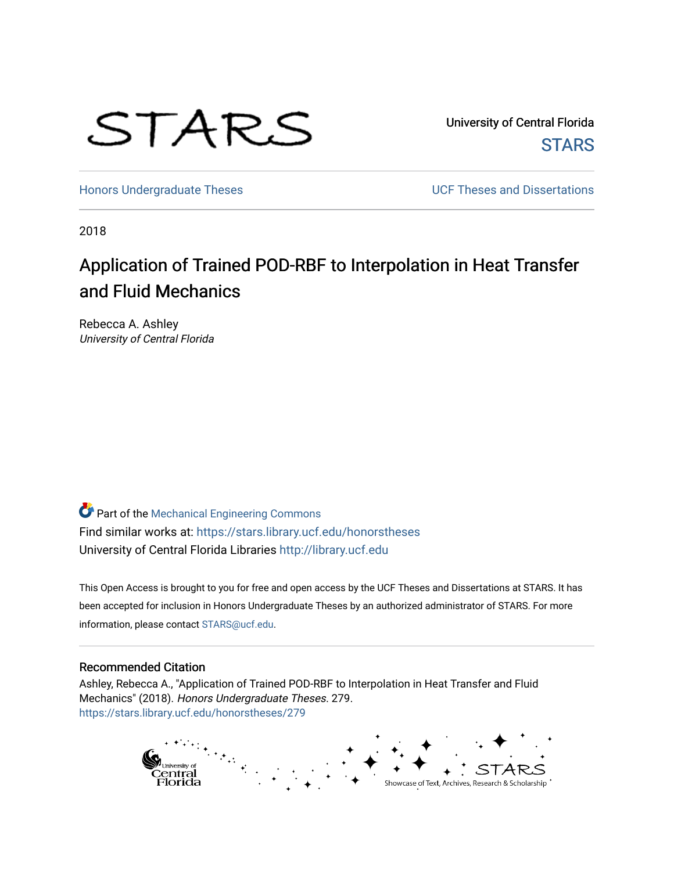

University of Central Florida **STARS** 

[Honors Undergraduate Theses](https://stars.library.ucf.edu/honorstheses) **No. 2018** UCF Theses and Dissertations

2018

# Application of Trained POD-RBF to Interpolation in Heat Transfer and Fluid Mechanics

Rebecca A. Ashley University of Central Florida

Part of the [Mechanical Engineering Commons](http://network.bepress.com/hgg/discipline/293?utm_source=stars.library.ucf.edu%2Fhonorstheses%2F279&utm_medium=PDF&utm_campaign=PDFCoverPages)  Find similar works at: <https://stars.library.ucf.edu/honorstheses> University of Central Florida Libraries [http://library.ucf.edu](http://library.ucf.edu/) 

This Open Access is brought to you for free and open access by the UCF Theses and Dissertations at STARS. It has been accepted for inclusion in Honors Undergraduate Theses by an authorized administrator of STARS. For more information, please contact [STARS@ucf.edu.](mailto:STARS@ucf.edu)

#### Recommended Citation

Ashley, Rebecca A., "Application of Trained POD-RBF to Interpolation in Heat Transfer and Fluid Mechanics" (2018). Honors Undergraduate Theses. 279. [https://stars.library.ucf.edu/honorstheses/279](https://stars.library.ucf.edu/honorstheses/279?utm_source=stars.library.ucf.edu%2Fhonorstheses%2F279&utm_medium=PDF&utm_campaign=PDFCoverPages) 

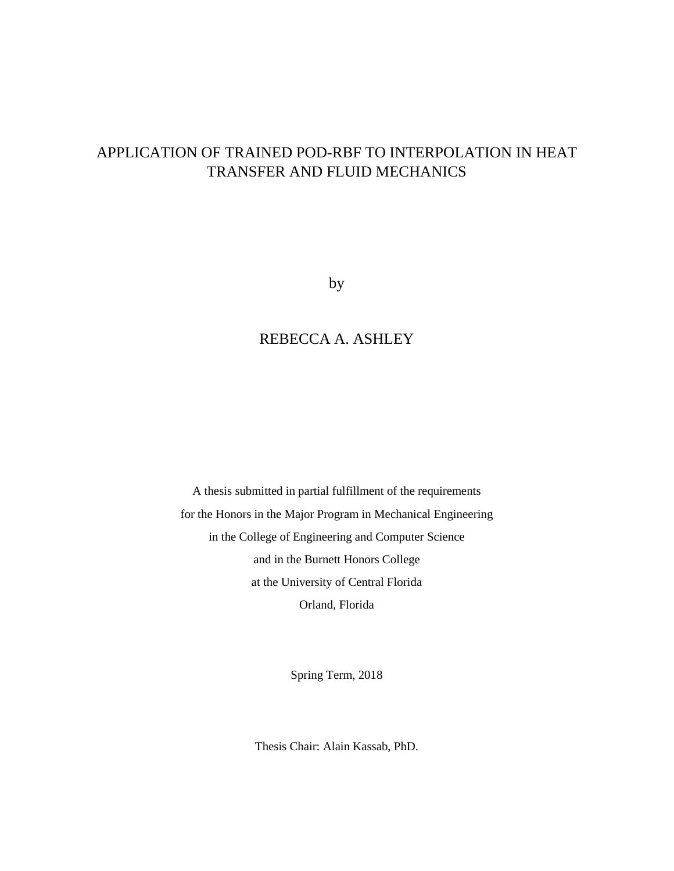# APPLICATION OF TRAINED POD-RBF TO INTERPOLATION IN HEAT TRANSFER AND FLUID MECHANICS

by

### REBECCA A. ASHLEY

A thesis submitted in partial fulfillment of the requirements for the Honors in the Major Program in Mechanical Engineering in the College of Engineering and Computer Science and in the Burnett Honors College at the University of Central Florida Orland, Florida

Spring Term, 2018

Thesis Chair: Alain Kassab, PhD.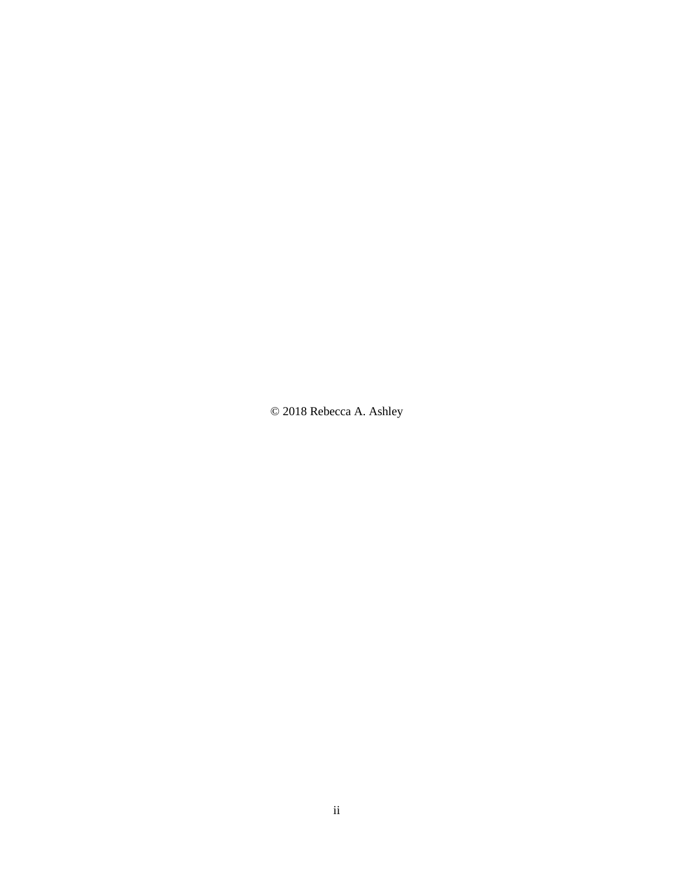© 2018 Rebecca A. Ashley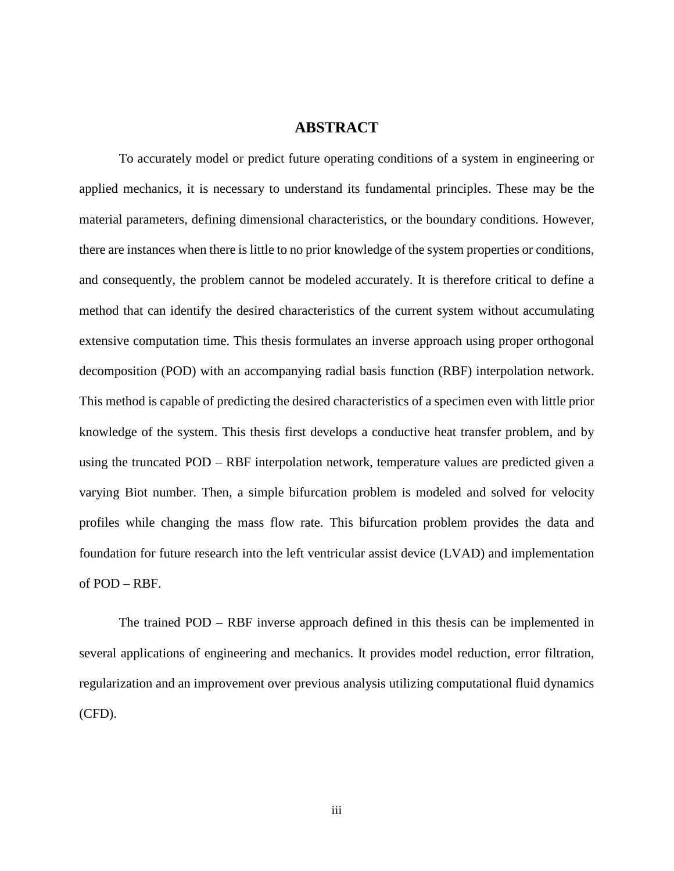### **ABSTRACT**

To accurately model or predict future operating conditions of a system in engineering or applied mechanics, it is necessary to understand its fundamental principles. These may be the material parameters, defining dimensional characteristics, or the boundary conditions. However, there are instances when there is little to no prior knowledge of the system properties or conditions, and consequently, the problem cannot be modeled accurately. It is therefore critical to define a method that can identify the desired characteristics of the current system without accumulating extensive computation time. This thesis formulates an inverse approach using proper orthogonal decomposition (POD) with an accompanying radial basis function (RBF) interpolation network. This method is capable of predicting the desired characteristics of a specimen even with little prior knowledge of the system. This thesis first develops a conductive heat transfer problem, and by using the truncated POD – RBF interpolation network, temperature values are predicted given a varying Biot number. Then, a simple bifurcation problem is modeled and solved for velocity profiles while changing the mass flow rate. This bifurcation problem provides the data and foundation for future research into the left ventricular assist device (LVAD) and implementation of POD – RBF.

The trained POD – RBF inverse approach defined in this thesis can be implemented in several applications of engineering and mechanics. It provides model reduction, error filtration, regularization and an improvement over previous analysis utilizing computational fluid dynamics (CFD).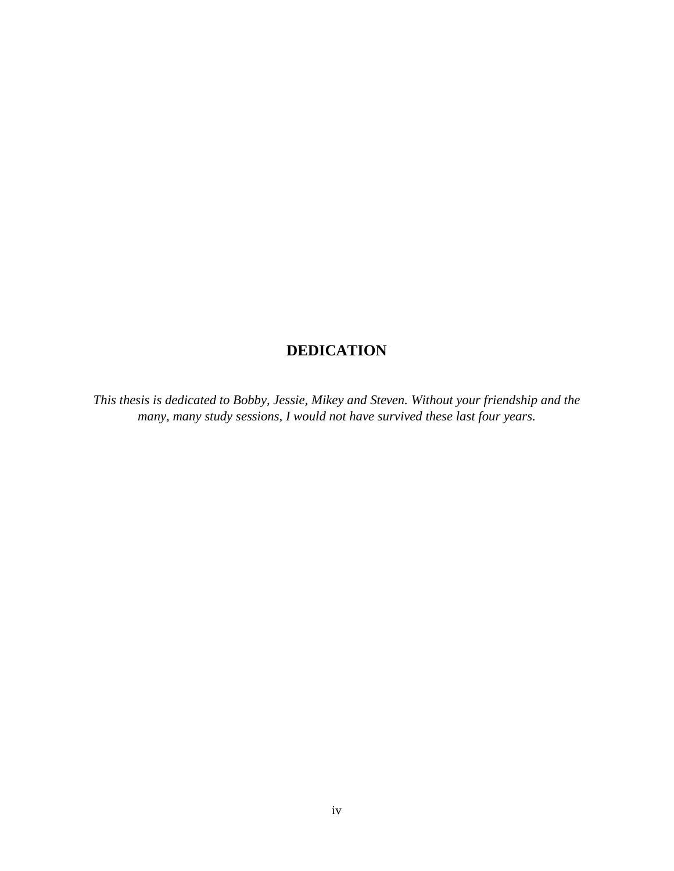## **DEDICATION**

*This thesis is dedicated to Bobby, Jessie, Mikey and Steven. Without your friendship and the many, many study sessions, I would not have survived these last four years.*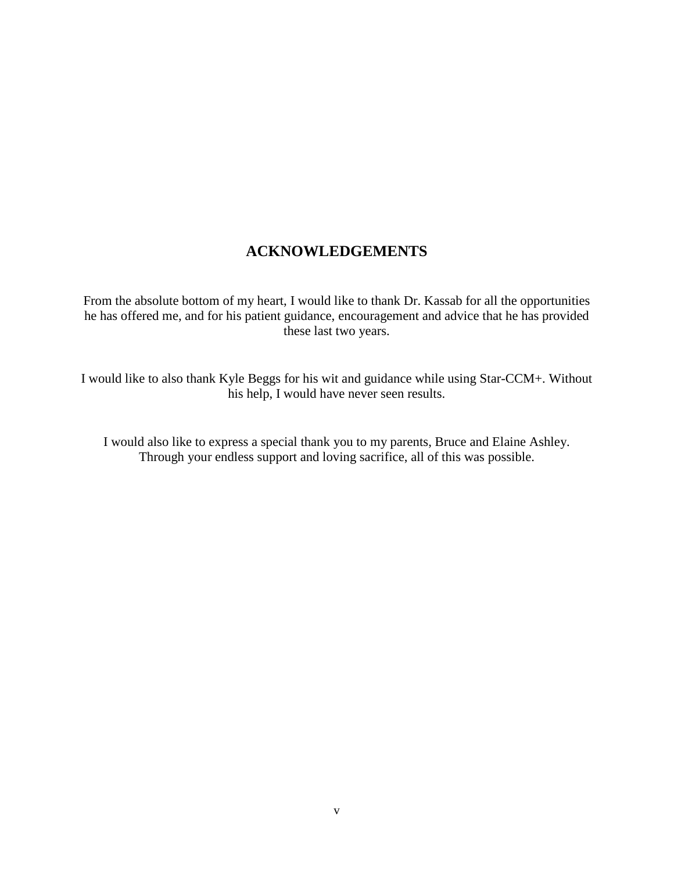## **ACKNOWLEDGEMENTS**

From the absolute bottom of my heart, I would like to thank Dr. Kassab for all the opportunities he has offered me, and for his patient guidance, encouragement and advice that he has provided these last two years.

I would like to also thank Kyle Beggs for his wit and guidance while using Star-CCM+. Without his help, I would have never seen results.

I would also like to express a special thank you to my parents, Bruce and Elaine Ashley. Through your endless support and loving sacrifice, all of this was possible.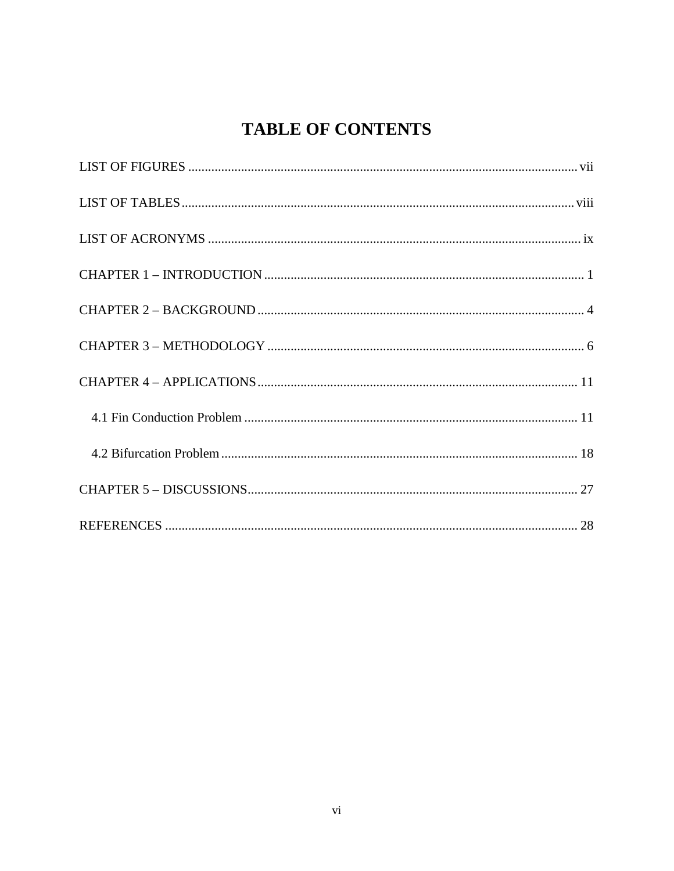# **TABLE OF CONTENTS**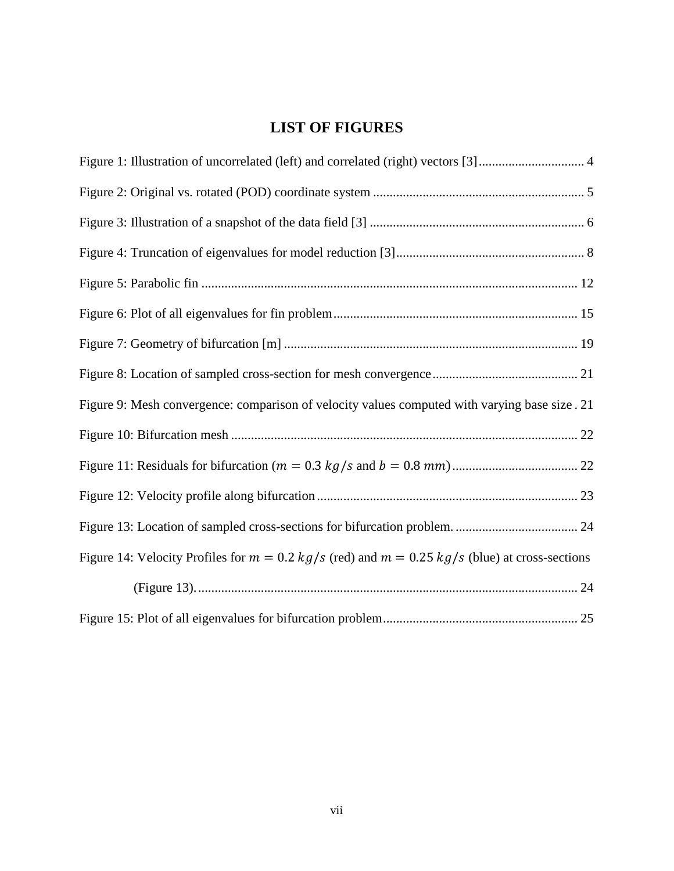# **LIST OF FIGURES**

<span id="page-7-0"></span>

| Figure 1: Illustration of uncorrelated (left) and correlated (right) vectors [3] 4                 |  |
|----------------------------------------------------------------------------------------------------|--|
|                                                                                                    |  |
|                                                                                                    |  |
|                                                                                                    |  |
|                                                                                                    |  |
|                                                                                                    |  |
|                                                                                                    |  |
|                                                                                                    |  |
| Figure 9: Mesh convergence: comparison of velocity values computed with varying base size . 21     |  |
|                                                                                                    |  |
|                                                                                                    |  |
|                                                                                                    |  |
|                                                                                                    |  |
| Figure 14: Velocity Profiles for $m = 0.2$ kg/s (red) and $m = 0.25$ kg/s (blue) at cross-sections |  |
|                                                                                                    |  |
|                                                                                                    |  |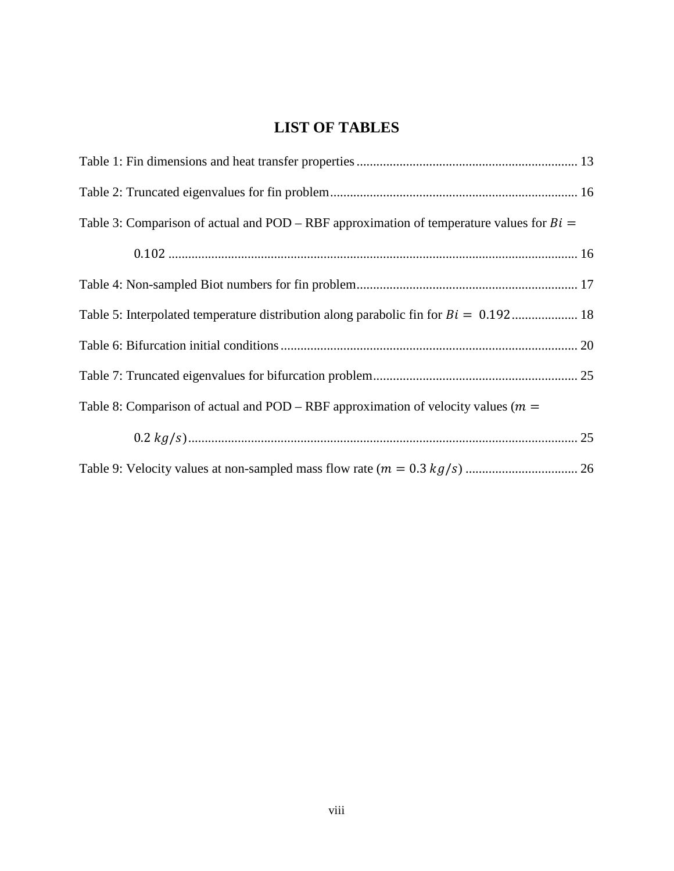# **LIST OF TABLES**

<span id="page-8-0"></span>

| Table 3: Comparison of actual and POD – RBF approximation of temperature values for $Bi =$ |
|--------------------------------------------------------------------------------------------|
|                                                                                            |
|                                                                                            |
|                                                                                            |
|                                                                                            |
|                                                                                            |
| Table 8: Comparison of actual and POD – RBF approximation of velocity values ( $m =$       |
|                                                                                            |
|                                                                                            |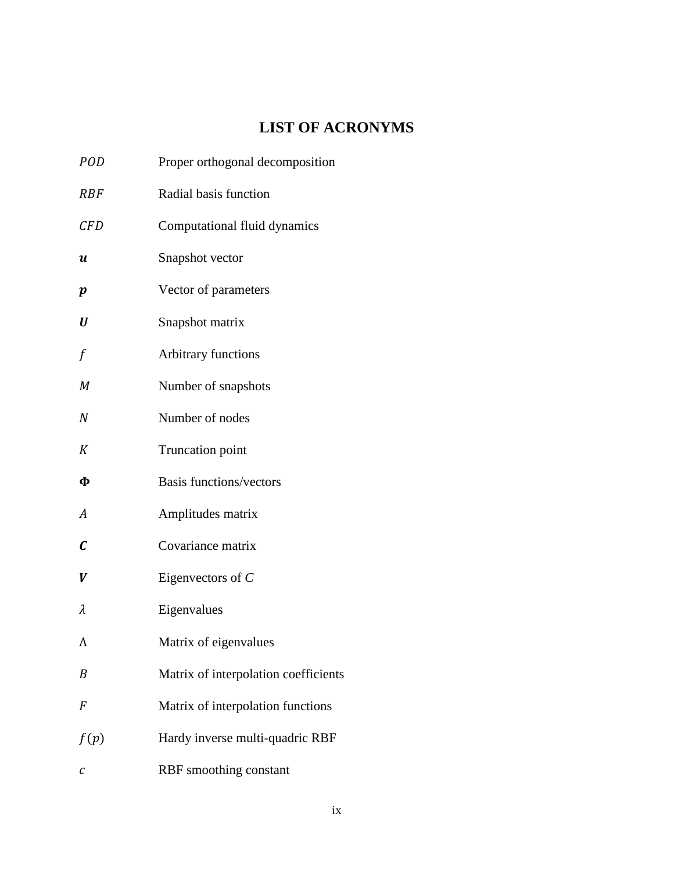# **LIST OF ACRONYMS**

<span id="page-9-0"></span>

| <b>POD</b>       | Proper orthogonal decomposition      |
|------------------|--------------------------------------|
| <b>RBF</b>       | Radial basis function                |
| CFD              | Computational fluid dynamics         |
| $\boldsymbol{u}$ | Snapshot vector                      |
| p                | Vector of parameters                 |
| U                | Snapshot matrix                      |
| f                | Arbitrary functions                  |
| М                | Number of snapshots                  |
| $\boldsymbol{N}$ | Number of nodes                      |
| K                | Truncation point                     |
| Ф                | <b>Basis functions/vectors</b>       |
| A                | Amplitudes matrix                    |
| $\mathcal C$     | Covariance matrix                    |
| V                | Eigenvectors of $C$                  |
| λ                | Eigenvalues                          |
| Λ                | Matrix of eigenvalues                |
| B                | Matrix of interpolation coefficients |
| F                | Matrix of interpolation functions    |
| f(p)             | Hardy inverse multi-quadric RBF      |
| С                | RBF smoothing constant               |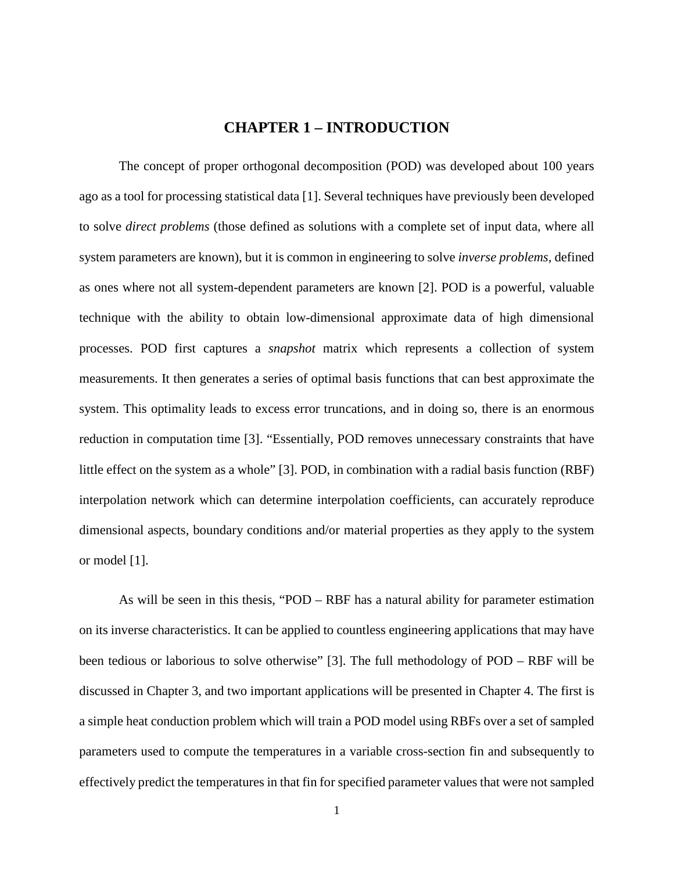### **CHAPTER 1 – INTRODUCTION**

<span id="page-10-0"></span>The concept of proper orthogonal decomposition (POD) was developed about 100 years ago as a tool for processing statistical data [1]. Several techniques have previously been developed to solve *direct problems* (those defined as solutions with a complete set of input data, where all system parameters are known), but it is common in engineering to solve *inverse problems*, defined as ones where not all system-dependent parameters are known [2]. POD is a powerful, valuable technique with the ability to obtain low-dimensional approximate data of high dimensional processes. POD first captures a *snapshot* matrix which represents a collection of system measurements. It then generates a series of optimal basis functions that can best approximate the system. This optimality leads to excess error truncations, and in doing so, there is an enormous reduction in computation time [3]. "Essentially, POD removes unnecessary constraints that have little effect on the system as a whole" [3]. POD, in combination with a radial basis function (RBF) interpolation network which can determine interpolation coefficients, can accurately reproduce dimensional aspects, boundary conditions and/or material properties as they apply to the system or model [1].

As will be seen in this thesis, "POD – RBF has a natural ability for parameter estimation on its inverse characteristics. It can be applied to countless engineering applications that may have been tedious or laborious to solve otherwise" [3]. The full methodology of POD – RBF will be discussed in Chapter 3, and two important applications will be presented in Chapter 4. The first is a simple heat conduction problem which will train a POD model using RBFs over a set of sampled parameters used to compute the temperatures in a variable cross-section fin and subsequently to effectively predict the temperatures in that fin for specified parameter values that were not sampled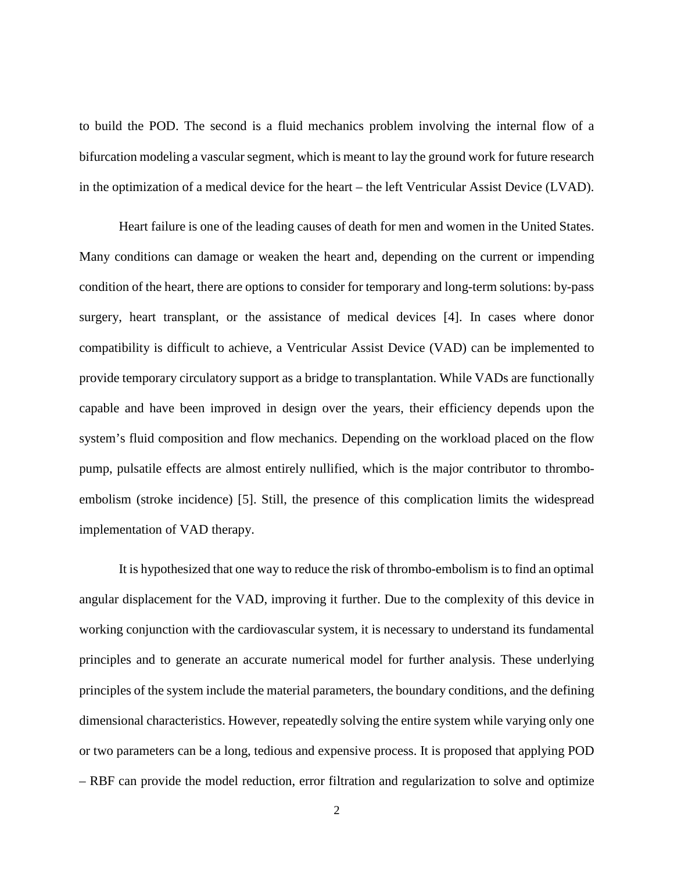to build the POD. The second is a fluid mechanics problem involving the internal flow of a bifurcation modeling a vascular segment, which is meant to lay the ground work for future research in the optimization of a medical device for the heart – the left Ventricular Assist Device (LVAD).

Heart failure is one of the leading causes of death for men and women in the United States. Many conditions can damage or weaken the heart and, depending on the current or impending condition of the heart, there are options to consider for temporary and long-term solutions: by-pass surgery, heart transplant, or the assistance of medical devices [4]. In cases where donor compatibility is difficult to achieve, a Ventricular Assist Device (VAD) can be implemented to provide temporary circulatory support as a bridge to transplantation. While VADs are functionally capable and have been improved in design over the years, their efficiency depends upon the system's fluid composition and flow mechanics. Depending on the workload placed on the flow pump, pulsatile effects are almost entirely nullified, which is the major contributor to thromboembolism (stroke incidence) [5]. Still, the presence of this complication limits the widespread implementation of VAD therapy.

It is hypothesized that one way to reduce the risk of thrombo-embolism is to find an optimal angular displacement for the VAD, improving it further. Due to the complexity of this device in working conjunction with the cardiovascular system, it is necessary to understand its fundamental principles and to generate an accurate numerical model for further analysis. These underlying principles of the system include the material parameters, the boundary conditions, and the defining dimensional characteristics. However, repeatedly solving the entire system while varying only one or two parameters can be a long, tedious and expensive process. It is proposed that applying POD – RBF can provide the model reduction, error filtration and regularization to solve and optimize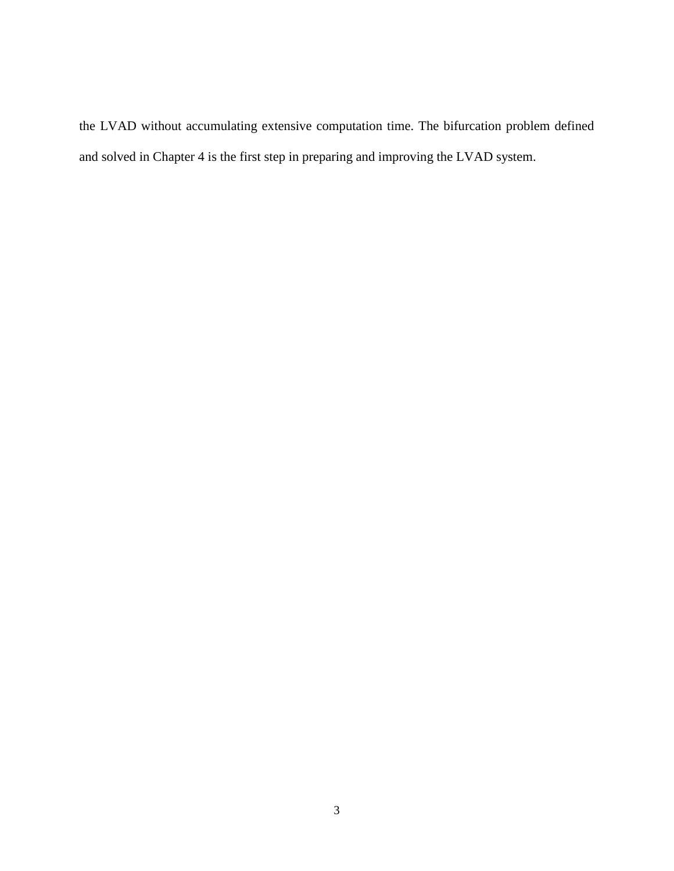the LVAD without accumulating extensive computation time. The bifurcation problem defined and solved in Chapter 4 is the first step in preparing and improving the LVAD system.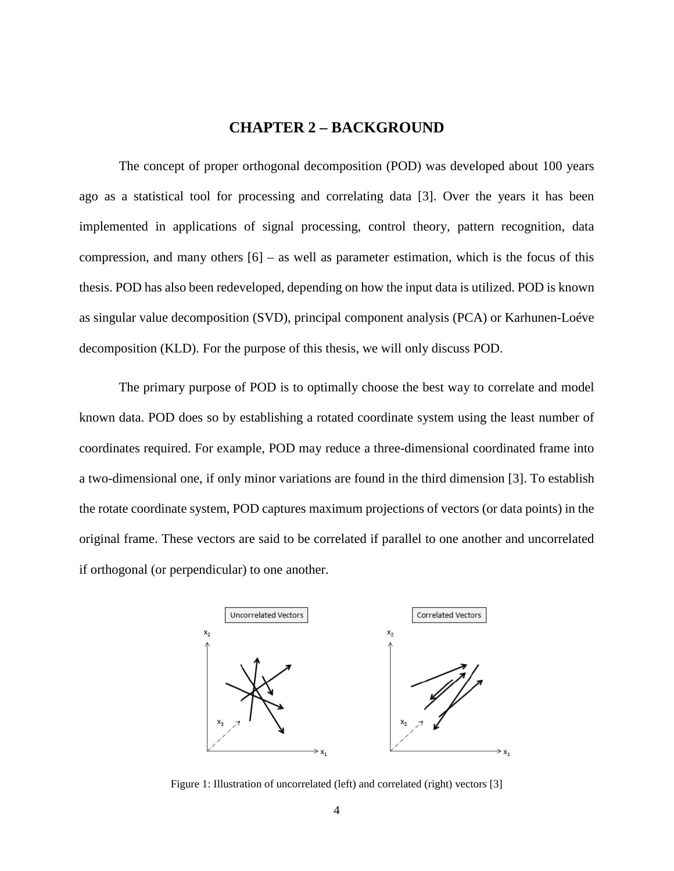### **CHAPTER 2 – BACKGROUND**

<span id="page-13-0"></span>The concept of proper orthogonal decomposition (POD) was developed about 100 years ago as a statistical tool for processing and correlating data [3]. Over the years it has been implemented in applications of signal processing, control theory, pattern recognition, data compression, and many others  $[6]$  – as well as parameter estimation, which is the focus of this thesis. POD has also been redeveloped, depending on how the input data is utilized. POD is known as singular value decomposition (SVD), principal component analysis (PCA) or Karhunen-Loéve decomposition (KLD). For the purpose of this thesis, we will only discuss POD.

The primary purpose of POD is to optimally choose the best way to correlate and model known data. POD does so by establishing a rotated coordinate system using the least number of coordinates required. For example, POD may reduce a three-dimensional coordinated frame into a two-dimensional one, if only minor variations are found in the third dimension [3]. To establish the rotate coordinate system, POD captures maximum projections of vectors (or data points) in the original frame. These vectors are said to be correlated if parallel to one another and uncorrelated if orthogonal (or perpendicular) to one another.



<span id="page-13-1"></span>Figure 1: Illustration of uncorrelated (left) and correlated (right) vectors [3]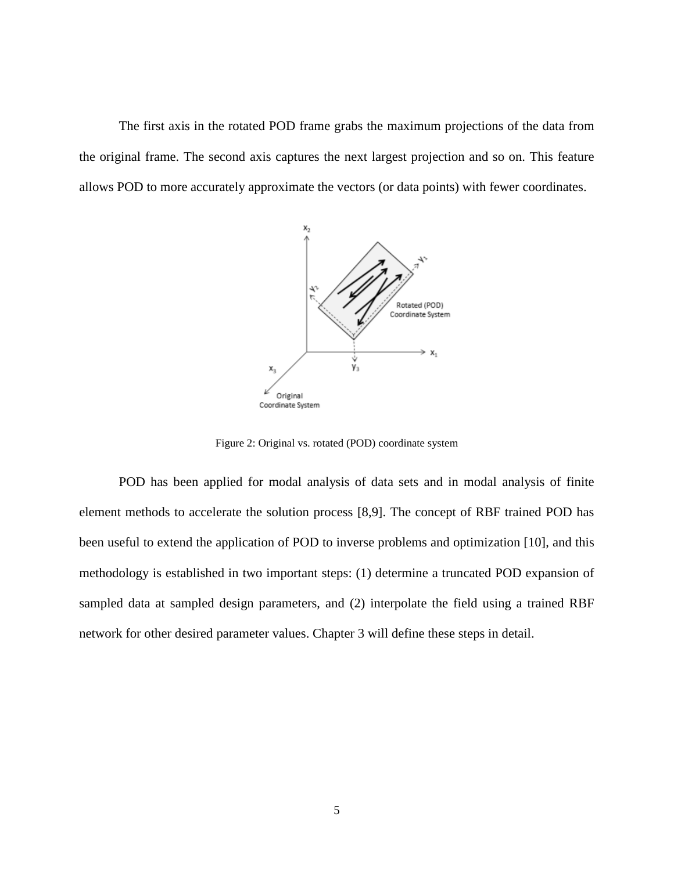The first axis in the rotated POD frame grabs the maximum projections of the data from the original frame. The second axis captures the next largest projection and so on. This feature allows POD to more accurately approximate the vectors (or data points) with fewer coordinates.



Figure 2: Original vs. rotated (POD) coordinate system

<span id="page-14-0"></span>POD has been applied for modal analysis of data sets and in modal analysis of finite element methods to accelerate the solution process [8,9]. The concept of RBF trained POD has been useful to extend the application of POD to inverse problems and optimization [10], and this methodology is established in two important steps: (1) determine a truncated POD expansion of sampled data at sampled design parameters, and (2) interpolate the field using a trained RBF network for other desired parameter values. Chapter 3 will define these steps in detail.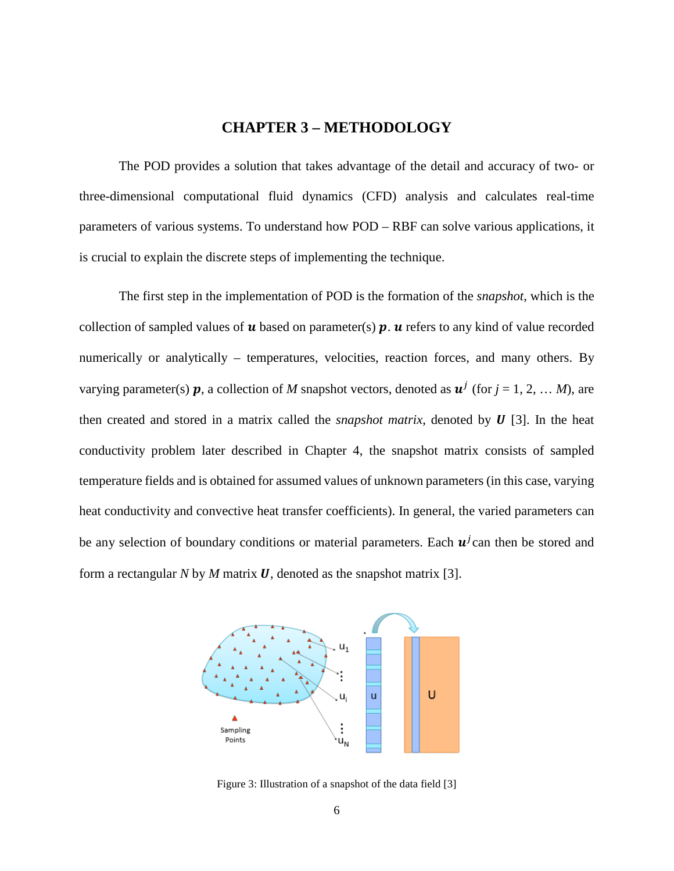### **CHAPTER 3 – METHODOLOGY**

<span id="page-15-0"></span>The POD provides a solution that takes advantage of the detail and accuracy of two- or three-dimensional computational fluid dynamics (CFD) analysis and calculates real-time parameters of various systems. To understand how POD – RBF can solve various applications, it is crucial to explain the discrete steps of implementing the technique.

The first step in the implementation of POD is the formation of the *snapshot*, which is the collection of sampled values of  $u$  based on parameter(s)  $p$ .  $u$  refers to any kind of value recorded numerically or analytically – temperatures, velocities, reaction forces, and many others. By varying parameter(s) **p**, a collection of M snapshot vectors, denoted as  $\mathbf{u}^j$  (for  $j = 1, 2, ...$  M), are then created and stored in a matrix called the *snapshot matrix*, denoted by  $\boldsymbol{U}$  [3]. In the heat conductivity problem later described in Chapter 4, the snapshot matrix consists of sampled temperature fields and is obtained for assumed values of unknown parameters (in this case, varying heat conductivity and convective heat transfer coefficients). In general, the varied parameters can be any selection of boundary conditions or material parameters. Each  $u^j$  can then be stored and form a rectangular *N* by *M* matrix *U*, denoted as the snapshot matrix [3].



<span id="page-15-1"></span>Figure 3: Illustration of a snapshot of the data field [3]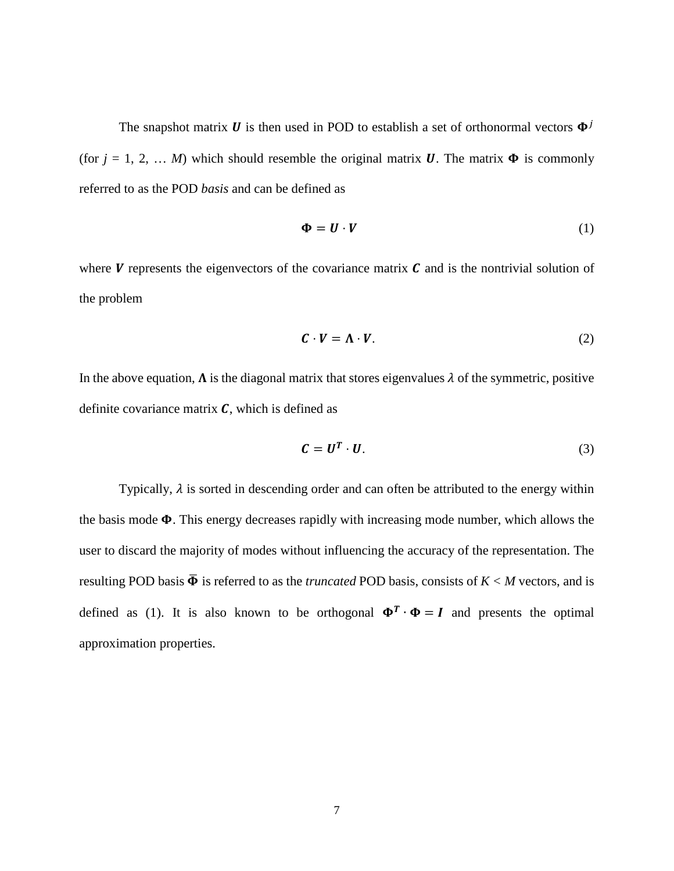The snapshot matrix **U** is then used in POD to establish a set of orthonormal vectors  $\Phi^{j}$ (for  $j = 1, 2, \ldots M$ ) which should resemble the original matrix **U**. The matrix  $\Phi$  is commonly referred to as the POD *basis* and can be defined as

$$
\Phi = \mathbf{U} \cdot \mathbf{V} \tag{1}
$$

where  $V$  represents the eigenvectors of the covariance matrix  $C$  and is the nontrivial solution of the problem

$$
C \cdot V = \Lambda \cdot V. \tag{2}
$$

In the above equation,  $\Lambda$  is the diagonal matrix that stores eigenvalues  $\lambda$  of the symmetric, positive definite covariance matrix  $\mathbf{C}$ , which is defined as

$$
C = U^T \cdot U. \tag{3}
$$

Typically,  $\lambda$  is sorted in descending order and can often be attributed to the energy within the basis mode  $\Phi$ . This energy decreases rapidly with increasing mode number, which allows the user to discard the majority of modes without influencing the accuracy of the representation. The resulting POD basis  $\overline{\Phi}$  is referred to as the *truncated* POD basis, consists of  $K < M$  vectors, and is defined as (1). It is also known to be orthogonal  $\Phi^T \cdot \Phi = I$  and presents the optimal approximation properties.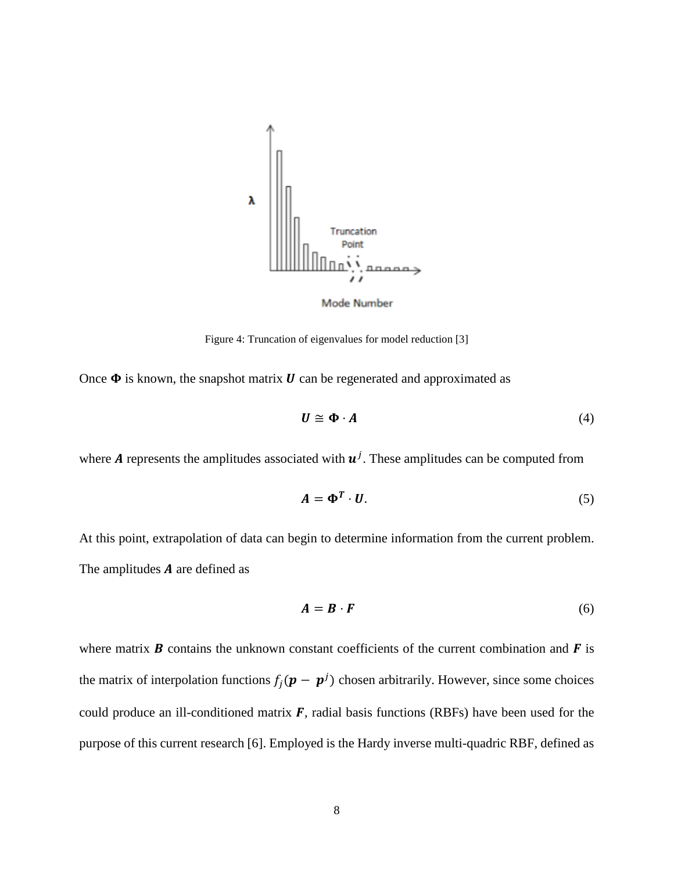

Mode Number

Figure 4: Truncation of eigenvalues for model reduction [3]

<span id="page-17-0"></span>Once  $\Phi$  is known, the snapshot matrix  $\boldsymbol{U}$  can be regenerated and approximated as

$$
U \cong \Phi \cdot A \tag{4}
$$

where **A** represents the amplitudes associated with  $\mathbf{u}^{j}$ . These amplitudes can be computed from

$$
A = \Phi^T \cdot U. \tag{5}
$$

At this point, extrapolation of data can begin to determine information from the current problem. The amplitudes  $A$  are defined as

$$
A = B \cdot F \tag{6}
$$

where matrix  $\bf{B}$  contains the unknown constant coefficients of the current combination and  $\bf{F}$  is the matrix of interpolation functions  $f_j(\mathbf{p} - \mathbf{p}^j)$  chosen arbitrarily. However, since some choices could produce an ill-conditioned matrix  $\vec{F}$ , radial basis functions (RBFs) have been used for the purpose of this current research [6]. Employed is the Hardy inverse multi-quadric RBF, defined as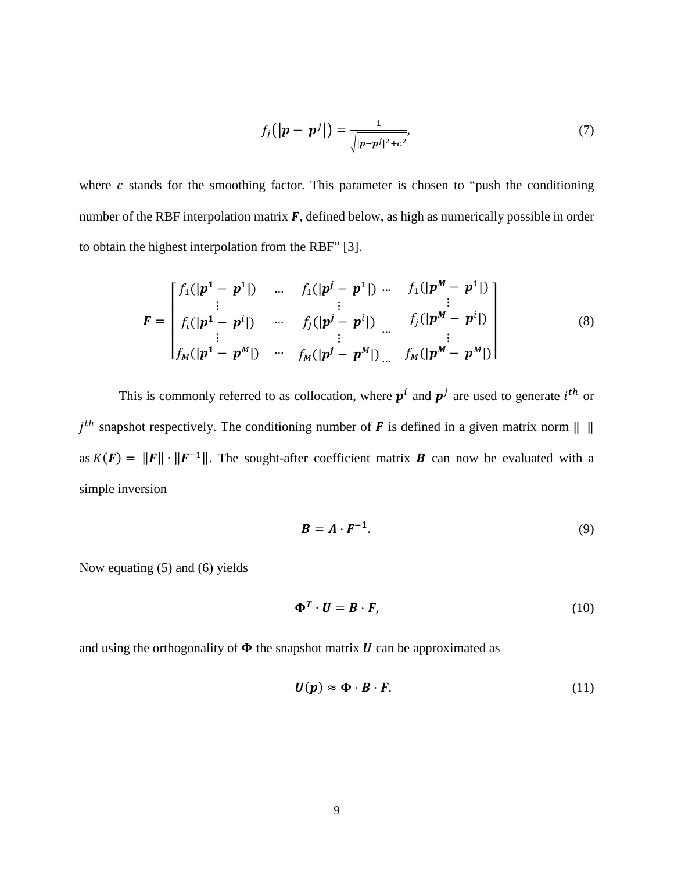$$
f_j\left(|\boldsymbol{p}-\boldsymbol{p}^j|\right)=\frac{1}{\sqrt{|\boldsymbol{p}-\boldsymbol{p}^j|^2+c^2}},\tag{7}
$$

where  $c$  stands for the smoothing factor. This parameter is chosen to "push the conditioning number of the RBF interpolation matrix  $\vec{F}$ , defined below, as high as numerically possible in order to obtain the highest interpolation from the RBF" [3].

$$
F = \begin{bmatrix} f_1(|p^1 - p^1|) & \dots & f_1(|p^j - p^1|) & \dots & f_1(|p^M - p^1|) \\ \vdots & & \vdots & & \vdots \\ f_i(|p^1 - p^i|) & \dots & f_j(|p^j - p^i|) & \dots & f_j(|p^M - p^i|) \\ \vdots & & \vdots & & \vdots \\ f_M(|p^1 - p^M|) & \dots & f_M(|p^j - p^M|) & \dots & f_M(|p^M - p^M|) \end{bmatrix}
$$
(8)

This is commonly referred to as collocation, where  $p^i$  and  $p^j$  are used to generate  $i^{th}$  or  $j<sup>th</sup>$  snapshot respectively. The conditioning number of **F** is defined in a given matrix norm  $|| \cdot ||$ as  $K(F) = ||F|| \cdot ||F^{-1}||$ . The sought-after coefficient matrix **B** can now be evaluated with a simple inversion

$$
B = A \cdot F^{-1}.
$$
 (9)

Now equating (5) and (6) yields

$$
\Phi^T \cdot U = B \cdot F,\tag{10}
$$

and using the orthogonality of  $\Phi$  the snapshot matrix  $\boldsymbol{U}$  can be approximated as

$$
U(p) \approx \Phi \cdot B \cdot F. \tag{11}
$$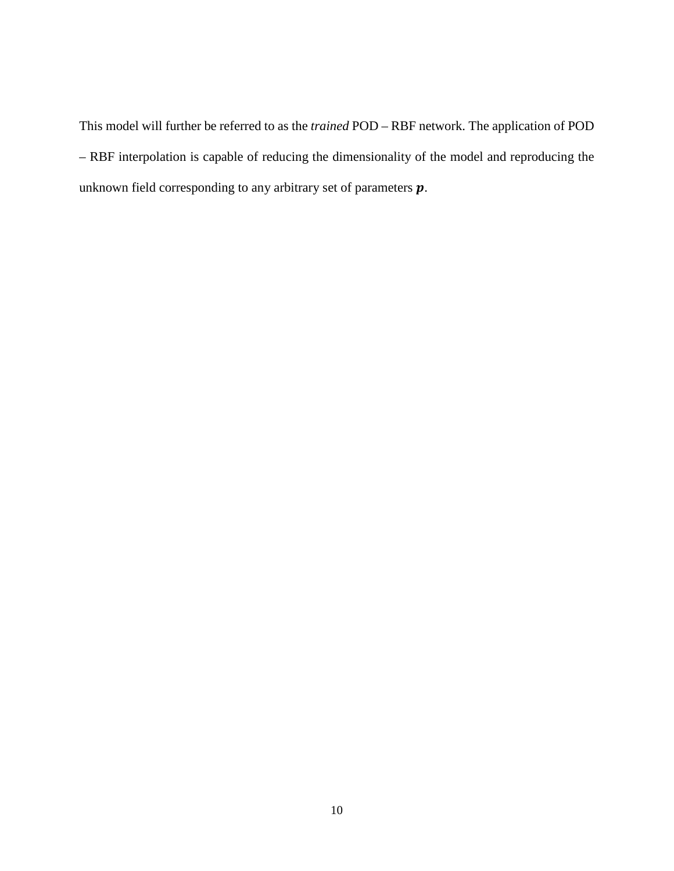This model will further be referred to as the *trained* POD – RBF network. The application of POD – RBF interpolation is capable of reducing the dimensionality of the model and reproducing the unknown field corresponding to any arbitrary set of parameters  $p$ .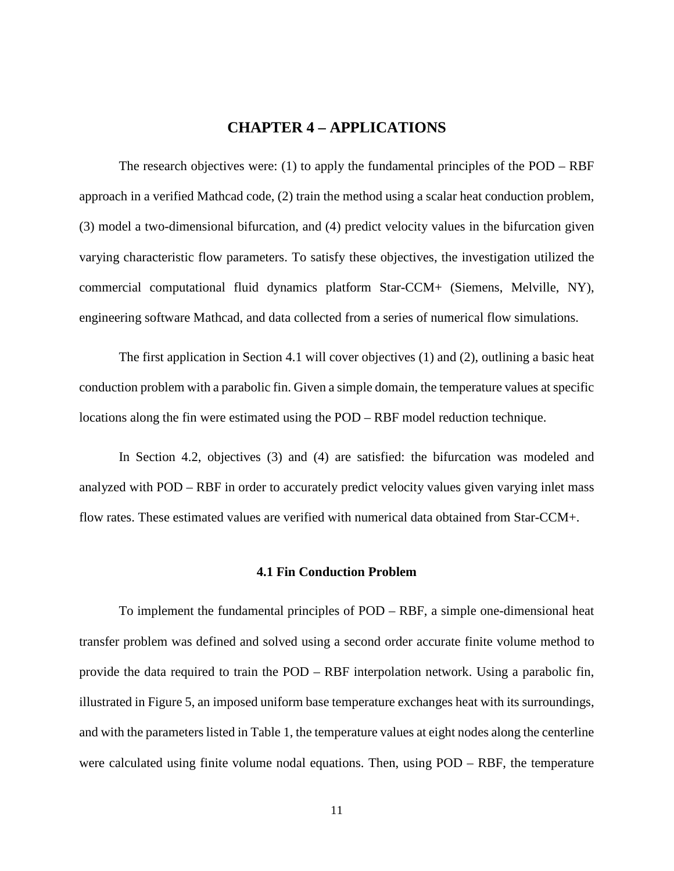### **CHAPTER 4 – APPLICATIONS**

<span id="page-20-0"></span>The research objectives were: (1) to apply the fundamental principles of the POD – RBF approach in a verified Mathcad code, (2) train the method using a scalar heat conduction problem, (3) model a two-dimensional bifurcation, and (4) predict velocity values in the bifurcation given varying characteristic flow parameters. To satisfy these objectives, the investigation utilized the commercial computational fluid dynamics platform Star-CCM+ (Siemens, Melville, NY), engineering software Mathcad, and data collected from a series of numerical flow simulations.

The first application in Section 4.1 will cover objectives (1) and (2), outlining a basic heat conduction problem with a parabolic fin. Given a simple domain, the temperature values at specific locations along the fin were estimated using the POD – RBF model reduction technique.

In Section 4.2, objectives (3) and (4) are satisfied: the bifurcation was modeled and analyzed with POD – RBF in order to accurately predict velocity values given varying inlet mass flow rates. These estimated values are verified with numerical data obtained from Star-CCM+.

#### **4.1 Fin Conduction Problem**

<span id="page-20-1"></span>To implement the fundamental principles of POD – RBF, a simple one-dimensional heat transfer problem was defined and solved using a second order accurate finite volume method to provide the data required to train the POD – RBF interpolation network. Using a parabolic fin, illustrated in Figure 5, an imposed uniform base temperature exchanges heat with its surroundings, and with the parameters listed in Table 1, the temperature values at eight nodes along the centerline were calculated using finite volume nodal equations. Then, using POD – RBF, the temperature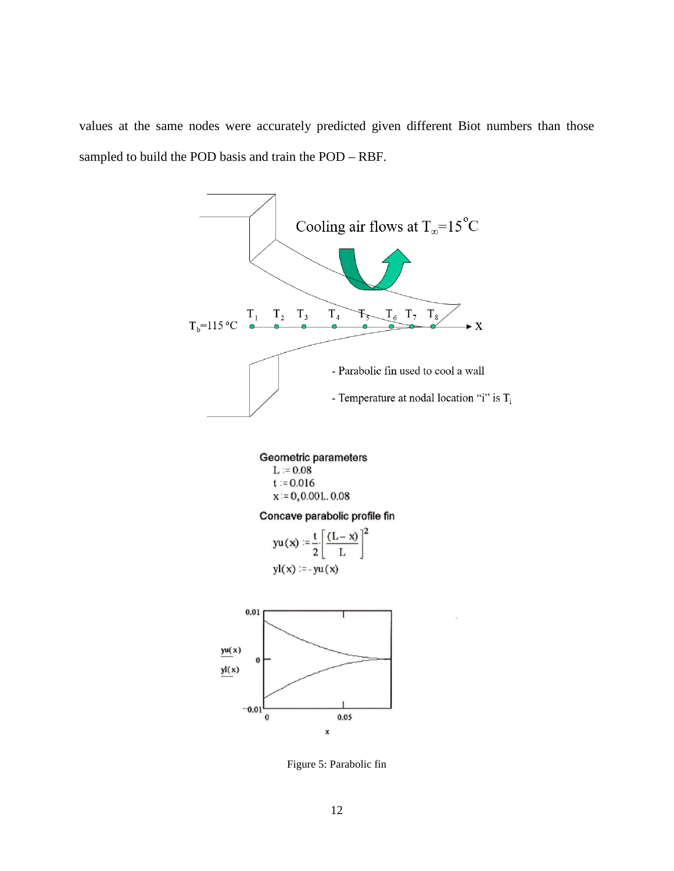values at the same nodes were accurately predicted given different Biot numbers than those sampled to build the POD basis and train the POD – RBF.



Geometric parameters  $L := 0.08$ 

> $t := 0.016$  $x = 0, 0.001, 0.08$

#### Concave parabolic profile fin

$$
yu(x) := \frac{t}{2} \left[ \frac{(L-x)}{L} \right]^2
$$

$$
yl(x) := -yu(x)
$$

<span id="page-21-0"></span>

Figure 5: Parabolic fin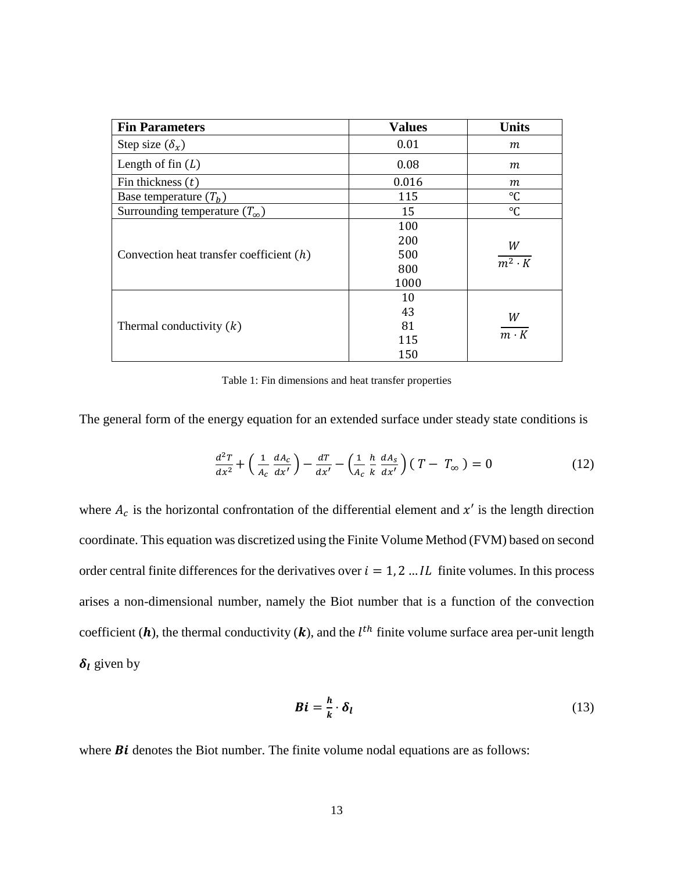| <b>Fin Parameters</b>                      | <b>Values</b> | <b>Units</b>       |  |
|--------------------------------------------|---------------|--------------------|--|
| Step size $(\delta_x)$                     | 0.01          | m                  |  |
| Length of fin $(L)$                        | 0.08          | m                  |  |
| Fin thickness $(t)$                        | 0.016         | m                  |  |
| Base temperature $(T_h)$                   | 115           | °C                 |  |
| Surrounding temperature $(T_{\infty})$     | 15            | $\rm ^{\circ}C$    |  |
|                                            | 100           |                    |  |
|                                            | 200           | W<br>$m^2 \cdot K$ |  |
| Convection heat transfer coefficient $(h)$ | 500           |                    |  |
|                                            | 800           |                    |  |
|                                            | 1000          |                    |  |
|                                            | 10            |                    |  |
| Thermal conductivity $(k)$                 | 43            | W                  |  |
|                                            | 81            |                    |  |
|                                            | 115           | $m \cdot K$        |  |
|                                            | 150           |                    |  |

Table 1: Fin dimensions and heat transfer properties

<span id="page-22-0"></span>The general form of the energy equation for an extended surface under steady state conditions is

$$
\frac{d^2T}{dx^2} + \left(\frac{1}{A_c}\frac{dA_c}{dx'}\right) - \frac{dT}{dx'} - \left(\frac{1}{A_c}\frac{h}{k}\frac{dA_s}{dx'}\right)(T - T_{\infty}) = 0
$$
\n(12)

where  $A_c$  is the horizontal confrontation of the differential element and  $x'$  is the length direction coordinate. This equation was discretized using the Finite Volume Method (FVM) based on second order central finite differences for the derivatives over  $i = 1, 2, \dots, IL$  finite volumes. In this process arises a non-dimensional number, namely the Biot number that is a function of the convection coefficient (**h**), the thermal conductivity (**k**), and the  $l^{th}$  finite volume surface area per-unit length  $\delta_l$  given by

$$
Bi = \frac{h}{k} \cdot \delta_l \tag{13}
$$

where  $Bi$  denotes the Biot number. The finite volume nodal equations are as follows: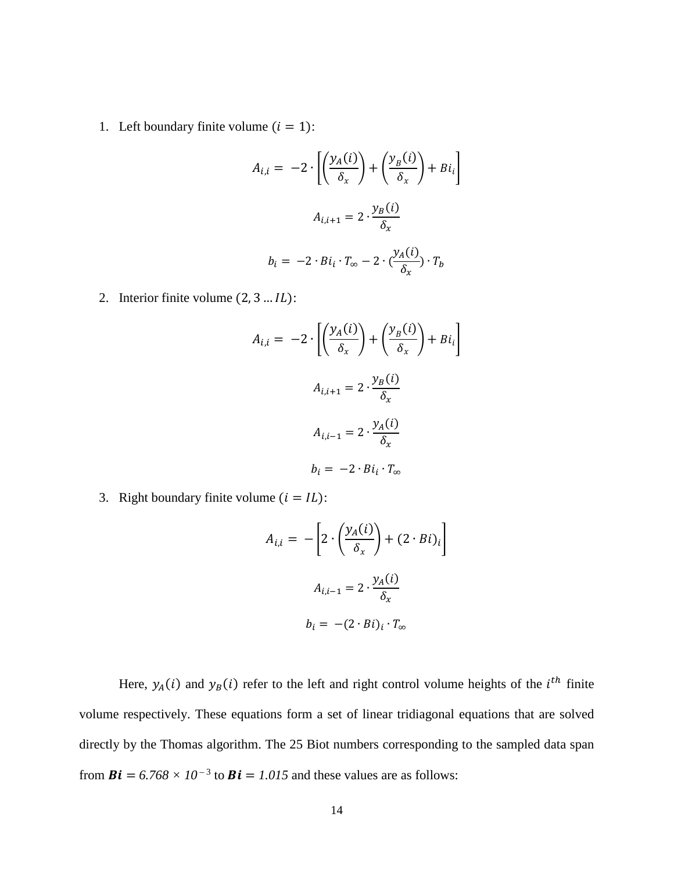1. Left boundary finite volume  $(i = 1)$ :

$$
A_{i,i} = -2 \cdot \left[ \left( \frac{y_A(i)}{\delta_x} \right) + \left( \frac{y_B(i)}{\delta_x} \right) + Bi_i \right]
$$
  

$$
A_{i,i+1} = 2 \cdot \frac{y_B(i)}{\delta_x}
$$
  

$$
b_i = -2 \cdot Bi_i \cdot T_{\infty} - 2 \cdot \left( \frac{y_A(i)}{\delta_x} \right) \cdot T_b
$$

2. Interior finite volume  $(2, 3 ... *l*).$ 

$$
A_{i,i} = -2 \cdot \left[ \left( \frac{y_A(i)}{\delta_x} \right) + \left( \frac{y_B(i)}{\delta_x} \right) + Bi_i \right]
$$
  

$$
A_{i,i+1} = 2 \cdot \frac{y_B(i)}{\delta_x}
$$
  

$$
A_{i,i-1} = 2 \cdot \frac{y_A(i)}{\delta_x}
$$
  

$$
b_i = -2 \cdot Bi_i \cdot T_{\infty}
$$

3. Right boundary finite volume  $(i = IL)$ :

$$
A_{i,i} = -\left[2 \cdot \left(\frac{y_A(i)}{\delta_x}\right) + (2 \cdot Bi)_i\right]
$$

$$
A_{i,i-1} = 2 \cdot \frac{y_A(i)}{\delta_x}
$$

$$
b_i = -(2 \cdot Bi)_i \cdot T_{\infty}
$$

Here,  $y_A(i)$  and  $y_B(i)$  refer to the left and right control volume heights of the  $i^{th}$  finite volume respectively. These equations form a set of linear tridiagonal equations that are solved directly by the Thomas algorithm. The 25 Biot numbers corresponding to the sampled data span from  $\mathbf{Bi} = 6.768 \times 10^{-3}$  to  $\mathbf{Bi} = 1.015$  and these values are as follows: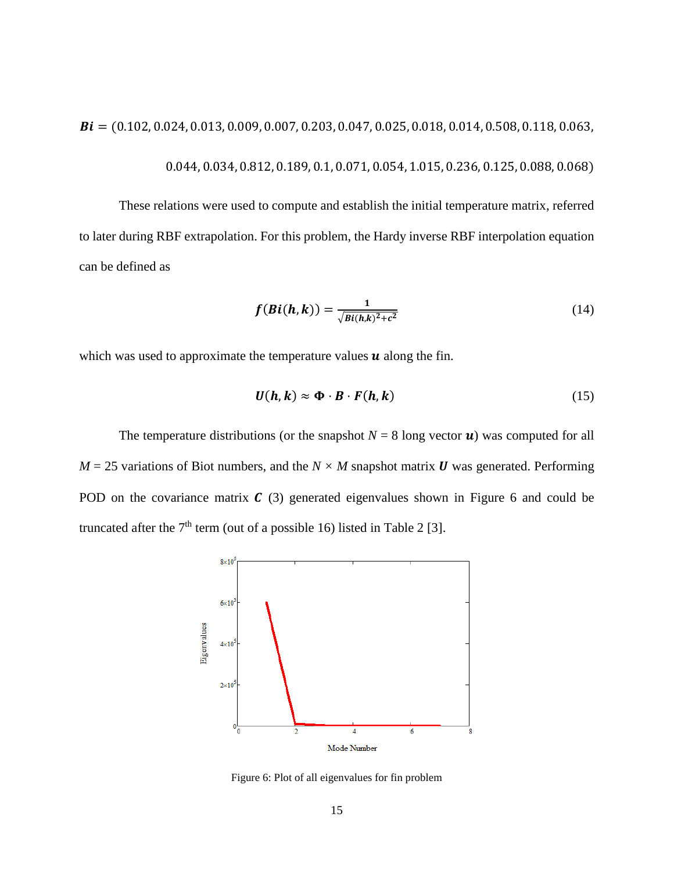$Bi = (0.102, 0.024, 0.013, 0.009, 0.007, 0.203, 0.047, 0.025, 0.018, 0.014, 0.508, 0.118, 0.063,$ 

$$
0.044, 0.034, 0.812, 0.189, 0.1, 0.071, 0.054, 1.015, 0.236, 0.125, 0.088, 0.068)
$$

These relations were used to compute and establish the initial temperature matrix, referred to later during RBF extrapolation. For this problem, the Hardy inverse RBF interpolation equation can be defined as

$$
f(Bi(h,k)) = \frac{1}{\sqrt{Bi(h,k)^2 + c^2}}\tag{14}
$$

which was used to approximate the temperature values  $\boldsymbol{u}$  along the fin.

$$
U(h,k) \approx \Phi \cdot B \cdot F(h,k) \tag{15}
$$

The temperature distributions (or the snapshot  $N = 8$  long vector **u**) was computed for all  $M = 25$  variations of Biot numbers, and the  $N \times M$  snapshot matrix **U** was generated. Performing POD on the covariance matrix  $\mathcal{C}(3)$  generated eigenvalues shown in Figure 6 and could be truncated after the  $7<sup>th</sup>$  term (out of a possible 16) listed in Table 2 [3].



<span id="page-24-0"></span>Figure 6: Plot of all eigenvalues for fin problem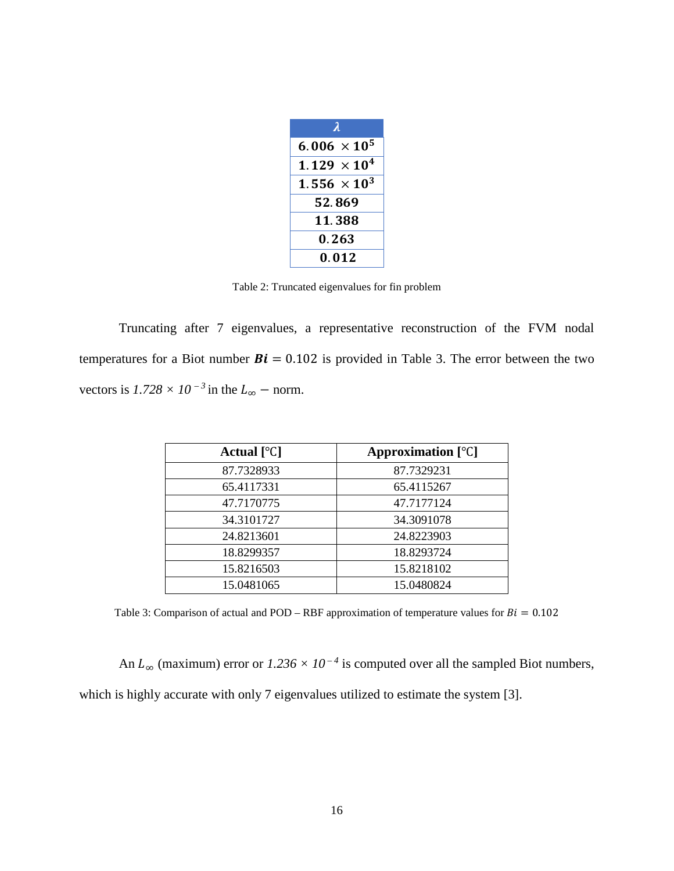| $\lambda$                      |  |
|--------------------------------|--|
| 6.006 $\times$ 10 <sup>5</sup> |  |
| $1.129 \times 10^{4}$          |  |
| 1.556 $\times$ 10 <sup>3</sup> |  |
| 52.869                         |  |
| 11.388                         |  |
| 0.263                          |  |
| 0.012                          |  |

Table 2: Truncated eigenvalues for fin problem

<span id="page-25-0"></span>Truncating after 7 eigenvalues, a representative reconstruction of the FVM nodal temperatures for a Biot number  $Bi = 0.102$  is provided in Table 3. The error between the two vectors is  $1.728 \times 10^{-3}$  in the  $L_{\infty}$  – norm.

| Actual $[°C]$ | Approximation $[°C]$ |
|---------------|----------------------|
| 87.7328933    | 87.7329231           |
| 65.4117331    | 65.4115267           |
| 47.7170775    | 47.7177124           |
| 34.3101727    | 34.3091078           |
| 24.8213601    | 24.8223903           |
| 18.8299357    | 18.8293724           |
| 15.8216503    | 15.8218102           |
| 15.0481065    | 15.0480824           |

<span id="page-25-1"></span>Table 3: Comparison of actual and POD – RBF approximation of temperature values for  $Bi = 0.102$ 

An  $L_{\infty}$  (maximum) error or  $1.236 \times 10^{-4}$  is computed over all the sampled Biot numbers, which is highly accurate with only 7 eigenvalues utilized to estimate the system [3].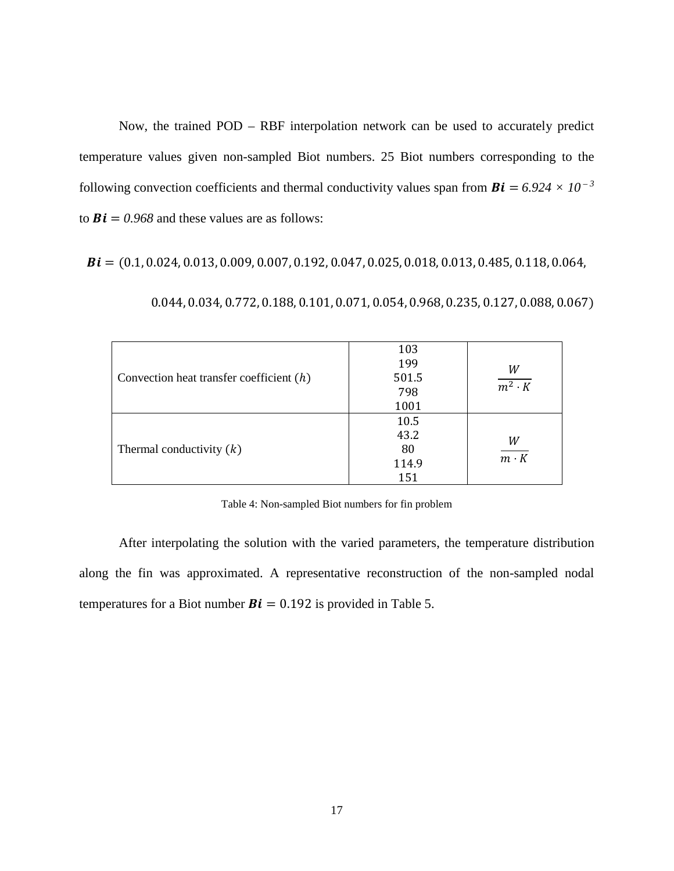Now, the trained POD – RBF interpolation network can be used to accurately predict temperature values given non-sampled Biot numbers. 25 Biot numbers corresponding to the following convection coefficients and thermal conductivity values span from  $Bi = 6.924 \times 10^{-3}$ to  $Bi = 0.968$  and these values are as follows:

 $Bi = (0.1, 0.024, 0.013, 0.009, 0.007, 0.192, 0.047, 0.025, 0.018, 0.013, 0.485, 0.118, 0.064,$ 

| Convection heat transfer coefficient $(h)$ | 103<br>199<br>501.5<br>798<br>1001 | W<br>$\overline{m^2\cdot K}$ |
|--------------------------------------------|------------------------------------|------------------------------|
| Thermal conductivity $(k)$                 | 10.5<br>43.2<br>80<br>114.9<br>151 | W<br>$\frac{1}{m \cdot K}$   |

0.044, 0.034, 0.772, 0.188, 0.101, 0.071, 0.054, 0.968, 0.235, 0.127, 0.088, 0.067)

Table 4: Non-sampled Biot numbers for fin problem

<span id="page-26-0"></span>After interpolating the solution with the varied parameters, the temperature distribution along the fin was approximated. A representative reconstruction of the non-sampled nodal temperatures for a Biot number  $Bi = 0.192$  is provided in Table 5.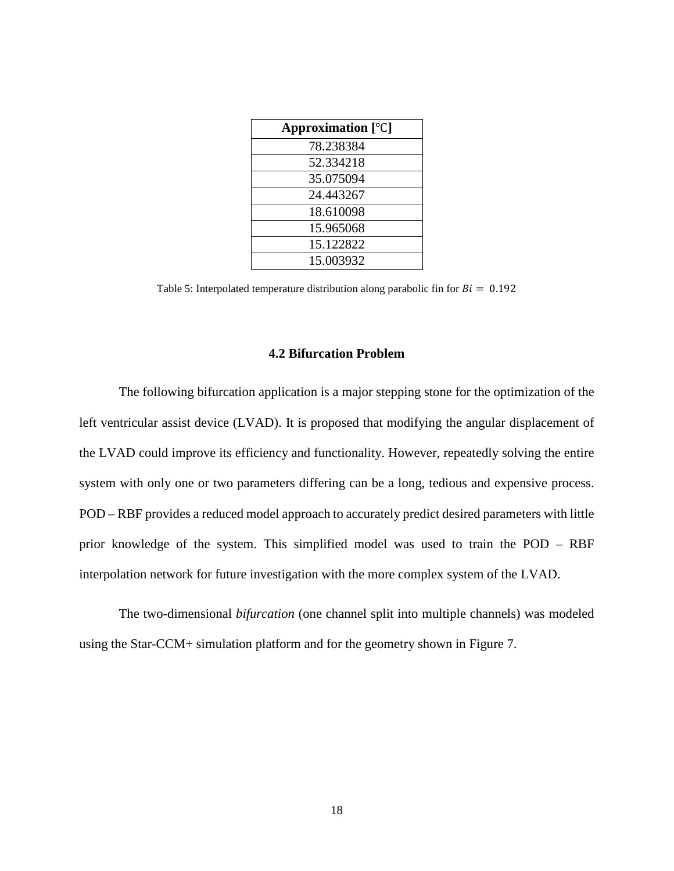| Approximation $[^{\circ}C]$ |  |
|-----------------------------|--|
| 78.238384                   |  |
| 52.334218                   |  |
| 35.075094                   |  |
| 24.443267                   |  |
| 18.610098                   |  |
| 15.965068                   |  |
| 15.122822                   |  |
| 15.003932                   |  |

<span id="page-27-1"></span>Table 5: Interpolated temperature distribution along parabolic fin for  $Bi = 0.192$ 

#### **4.2 Bifurcation Problem**

<span id="page-27-0"></span>The following bifurcation application is a major stepping stone for the optimization of the left ventricular assist device (LVAD). It is proposed that modifying the angular displacement of the LVAD could improve its efficiency and functionality. However, repeatedly solving the entire system with only one or two parameters differing can be a long, tedious and expensive process. POD – RBF provides a reduced model approach to accurately predict desired parameters with little prior knowledge of the system. This simplified model was used to train the POD – RBF interpolation network for future investigation with the more complex system of the LVAD.

The two-dimensional *bifurcation* (one channel split into multiple channels) was modeled using the Star-CCM+ simulation platform and for the geometry shown in Figure 7.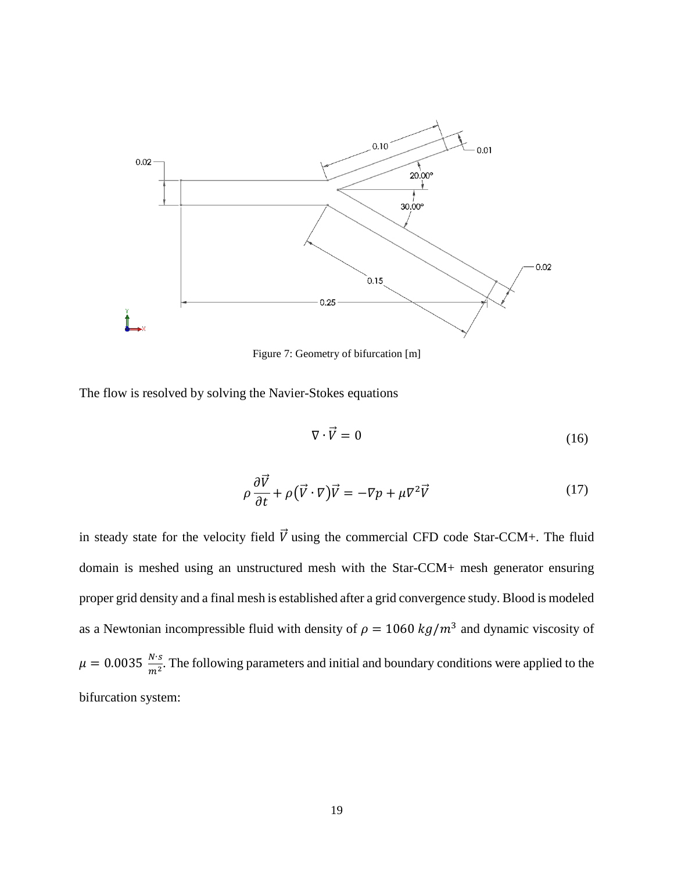

Figure 7: Geometry of bifurcation [m]

<span id="page-28-0"></span>The flow is resolved by solving the Navier-Stokes equations

$$
\nabla \cdot \vec{V} = 0 \tag{16}
$$

$$
\rho \frac{\partial \vec{V}}{\partial t} + \rho (\vec{V} \cdot \nabla) \vec{V} = -\nabla p + \mu \nabla^2 \vec{V}
$$
\n(17)

in steady state for the velocity field  $\vec{V}$  using the commercial CFD code Star-CCM+. The fluid domain is meshed using an unstructured mesh with the Star-CCM+ mesh generator ensuring proper grid density and a final mesh is established after a grid convergence study. Blood is modeled as a Newtonian incompressible fluid with density of  $\rho = 1060 kg/m^3$  and dynamic viscosity of  $\mu = 0.0035 \frac{N \cdot s}{m^2}$ . The following parameters and initial and boundary conditions were applied to the bifurcation system: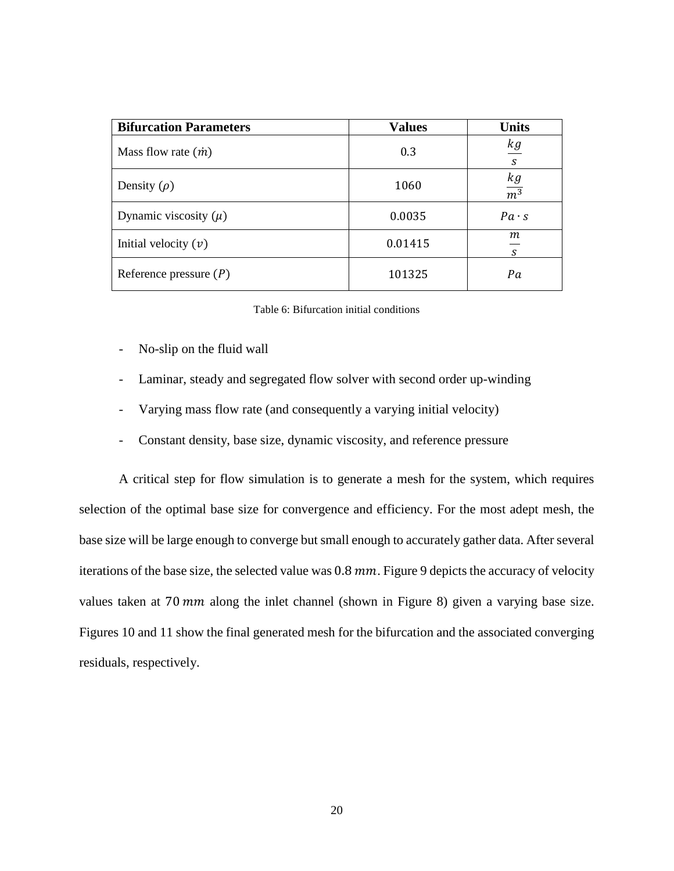| <b>Bifurcation Parameters</b> | <b>Values</b> | <b>Units</b>     |
|-------------------------------|---------------|------------------|
| Mass flow rate $(\dot{m})$    | 0.3           | kg<br>S          |
| Density $(\rho)$              | 1060          | $\frac{kg}{m^3}$ |
| Dynamic viscosity $(\mu)$     | 0.0035        | $Pa \cdot s$     |
| Initial velocity $(v)$        | 0.01415       | m<br>S           |
| Reference pressure $(P)$      | 101325        | Pa               |

Table 6: Bifurcation initial conditions

- <span id="page-29-0"></span>- No-slip on the fluid wall
- Laminar, steady and segregated flow solver with second order up-winding
- Varying mass flow rate (and consequently a varying initial velocity)
- Constant density, base size, dynamic viscosity, and reference pressure

A critical step for flow simulation is to generate a mesh for the system, which requires selection of the optimal base size for convergence and efficiency. For the most adept mesh, the base size will be large enough to converge but small enough to accurately gather data. After several iterations of the base size, the selected value was  $0.8 \, \text{mm}$ . Figure 9 depicts the accuracy of velocity values taken at 70  $mm$  along the inlet channel (shown in Figure 8) given a varying base size. Figures 10 and 11 show the final generated mesh for the bifurcation and the associated converging residuals, respectively.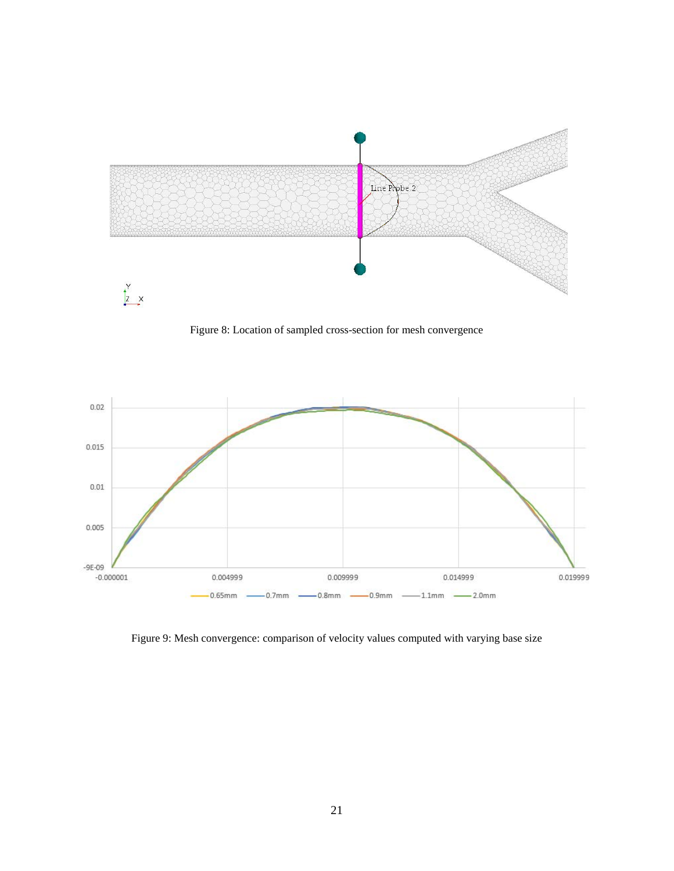

Figure 8: Location of sampled cross-section for mesh convergence

<span id="page-30-0"></span>

<span id="page-30-1"></span>Figure 9: Mesh convergence: comparison of velocity values computed with varying base size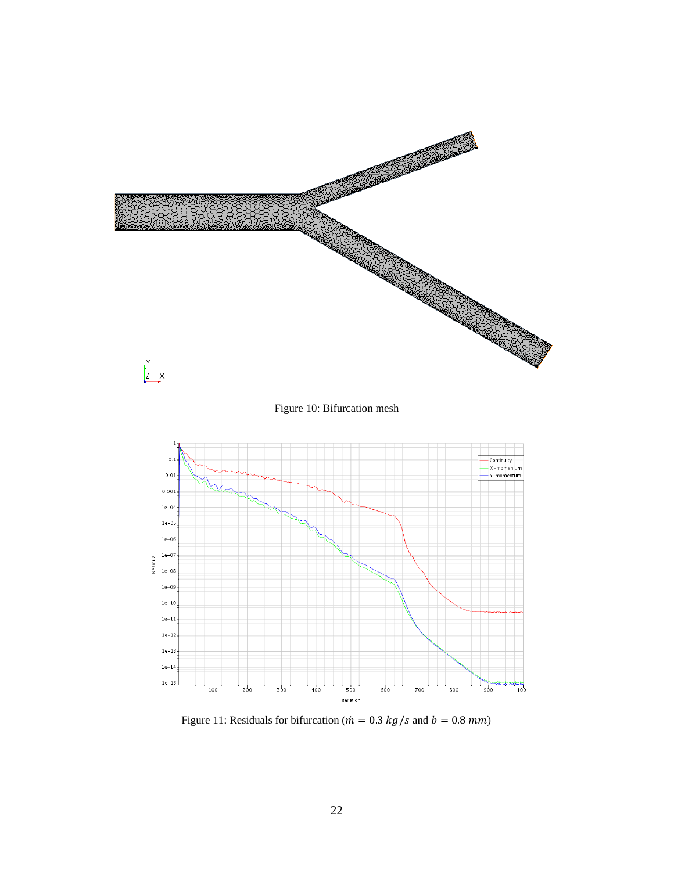<span id="page-31-0"></span>

<span id="page-31-1"></span>Figure 11: Residuals for bifurcation ( $\dot{m} = 0.3 \, kg/s$  and  $b = 0.8 \, mm$ )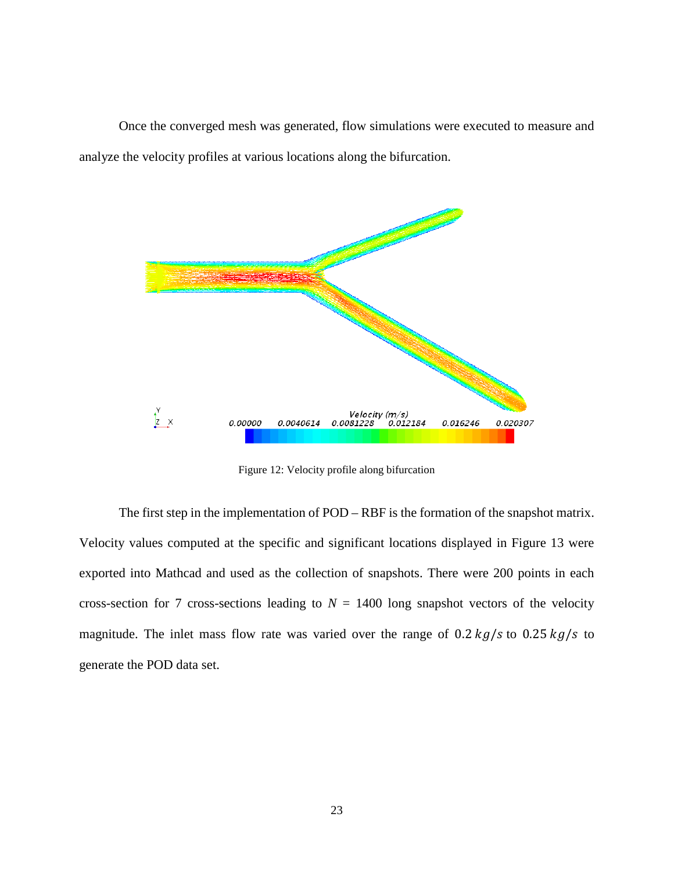Once the converged mesh was generated, flow simulations were executed to measure and analyze the velocity profiles at various locations along the bifurcation.



Figure 12: Velocity profile along bifurcation

<span id="page-32-0"></span>The first step in the implementation of POD – RBF is the formation of the snapshot matrix. Velocity values computed at the specific and significant locations displayed in Figure 13 were exported into Mathcad and used as the collection of snapshots. There were 200 points in each cross-section for 7 cross-sections leading to  $N = 1400$  long snapshot vectors of the velocity magnitude. The inlet mass flow rate was varied over the range of 0.2  $kg/s$  to 0.25  $kg/s$  to generate the POD data set.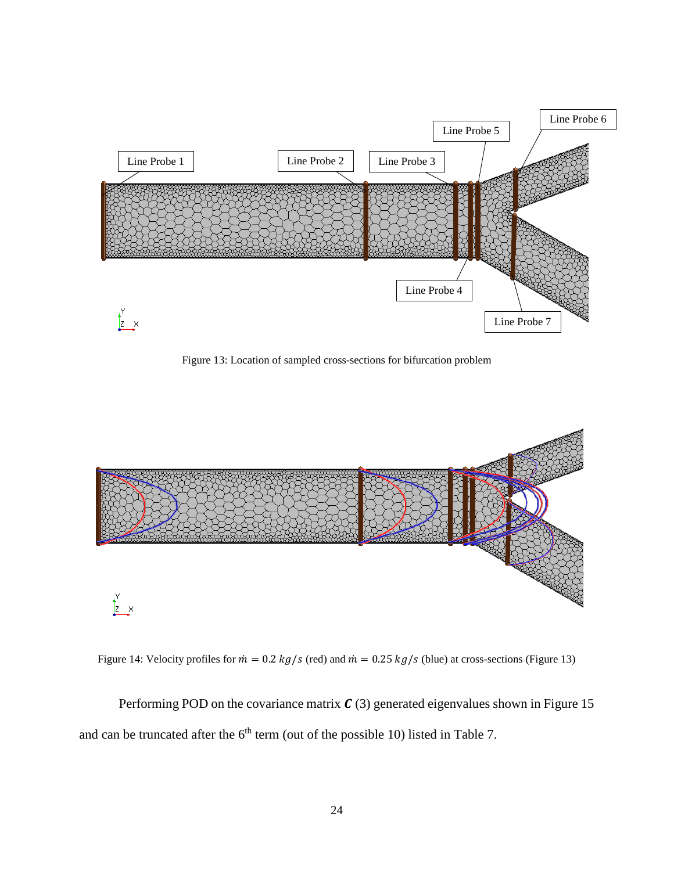

Figure 13: Location of sampled cross-sections for bifurcation problem

<span id="page-33-0"></span>

<span id="page-33-1"></span>Figure 14: Velocity profiles for  $\dot{m} = 0.2$  kg/s (red) and  $\dot{m} = 0.25$  kg/s (blue) at cross-sections (Figure 13)

Performing POD on the covariance matrix  $C(3)$  generated eigenvalues shown in Figure 15 and can be truncated after the  $6<sup>th</sup>$  term (out of the possible 10) listed in Table 7.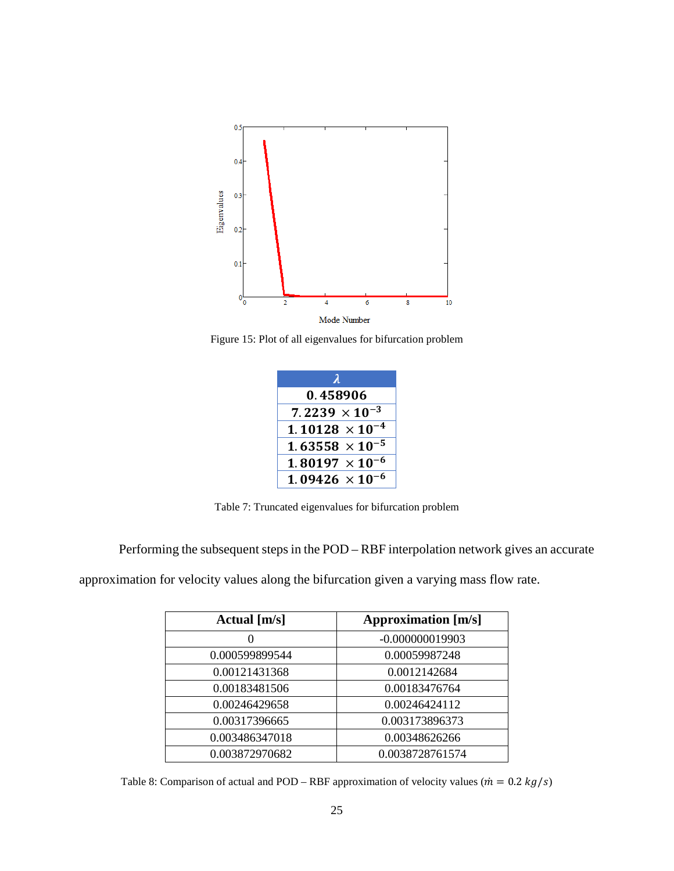

<span id="page-34-0"></span>Figure 15: Plot of all eigenvalues for bifurcation problem

| 2                        |
|--------------------------|
| 0.458906                 |
| $7.2239 \times 10^{-3}$  |
| $1.10128 \times 10^{-4}$ |
| $1.63558 \times 10^{-5}$ |
| $1.80197 \times 10^{-6}$ |
| $1.09426 \times 10^{-6}$ |

Table 7: Truncated eigenvalues for bifurcation problem

<span id="page-34-1"></span>Performing the subsequent steps in the POD – RBF interpolation network gives an accurate

approximation for velocity values along the bifurcation given a varying mass flow rate.

| Actual $[m/s]$ | <b>Approximation</b> [m/s] |
|----------------|----------------------------|
|                | $-0.000000019903$          |
| 0.000599899544 | 0.00059987248              |
| 0.00121431368  | 0.0012142684               |
| 0.00183481506  | 0.00183476764              |
| 0.00246429658  | 0.00246424112              |
| 0.00317396665  | 0.003173896373             |
| 0.003486347018 | 0.00348626266              |
| 0.003872970682 | 0.0038728761574            |

<span id="page-34-2"></span>Table 8: Comparison of actual and POD – RBF approximation of velocity values ( $\dot{m} = 0.2 \, kg/s$ )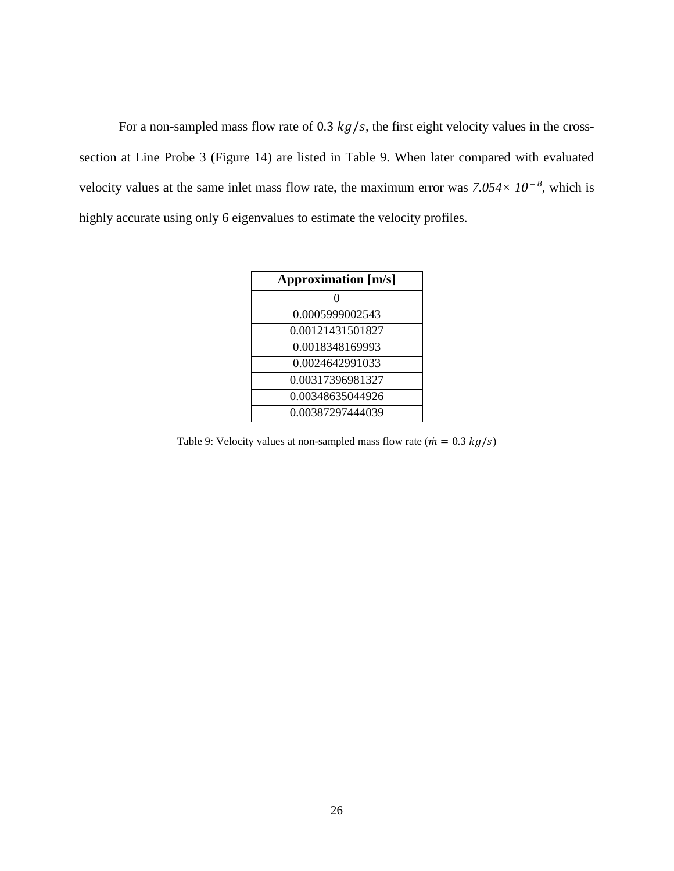For a non-sampled mass flow rate of 0.3  $kg/s$ , the first eight velocity values in the crosssection at Line Probe 3 (Figure 14) are listed in Table 9. When later compared with evaluated velocity values at the same inlet mass flow rate, the maximum error was  $7.054 \times 10^{-8}$ , which is highly accurate using only 6 eigenvalues to estimate the velocity profiles.

| <b>Approximation</b> [m/s] |
|----------------------------|
| $\mathbf{\Omega}$          |
| 0.0005999002543            |
| 0.00121431501827           |
| 0.0018348169993            |
| 0.0024642991033            |
| 0.00317396981327           |
| 0.00348635044926           |
| 0.00387297444039           |

<span id="page-35-0"></span>Table 9: Velocity values at non-sampled mass flow rate ( $\dot{m} = 0.3 \, kg/s$ )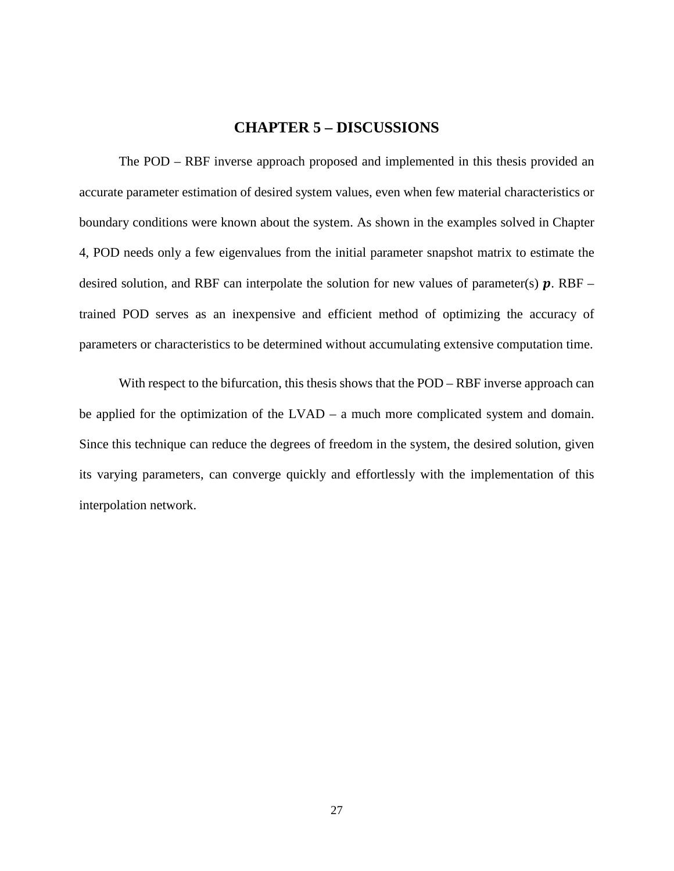#### **CHAPTER 5 – DISCUSSIONS**

<span id="page-36-0"></span>The POD – RBF inverse approach proposed and implemented in this thesis provided an accurate parameter estimation of desired system values, even when few material characteristics or boundary conditions were known about the system. As shown in the examples solved in Chapter 4, POD needs only a few eigenvalues from the initial parameter snapshot matrix to estimate the desired solution, and RBF can interpolate the solution for new values of parameter(s)  $\boldsymbol{p}$ . RBF – trained POD serves as an inexpensive and efficient method of optimizing the accuracy of parameters or characteristics to be determined without accumulating extensive computation time.

With respect to the bifurcation, this thesis shows that the POD – RBF inverse approach can be applied for the optimization of the LVAD – a much more complicated system and domain. Since this technique can reduce the degrees of freedom in the system, the desired solution, given its varying parameters, can converge quickly and effortlessly with the implementation of this interpolation network.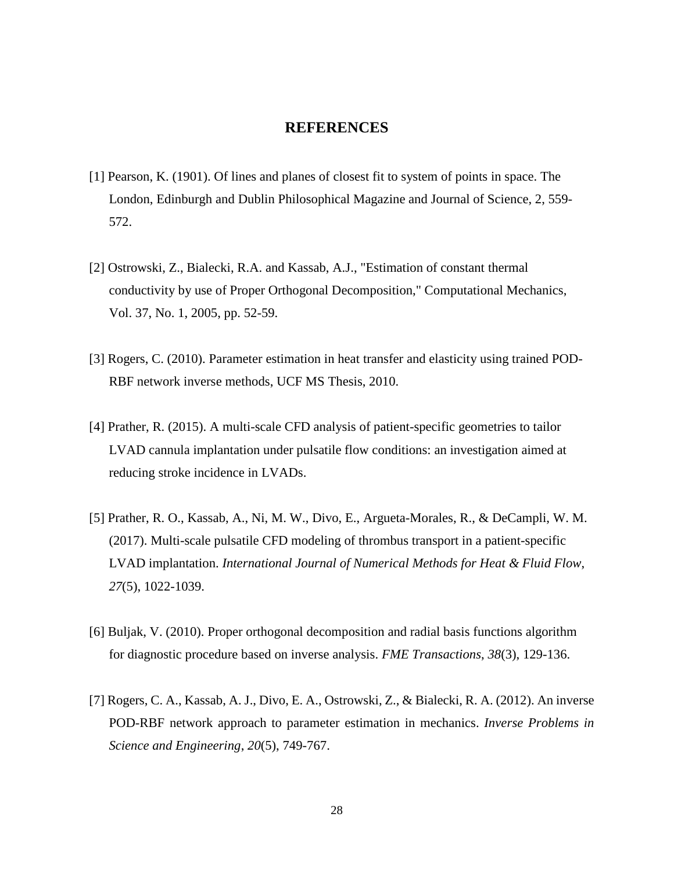#### **REFERENCES**

- <span id="page-37-0"></span>[1] Pearson, K. (1901). Of lines and planes of closest fit to system of points in space. The London, Edinburgh and Dublin Philosophical Magazine and Journal of Science, 2, 559- 572.
- [2] Ostrowski, Z., Bialecki, R.A. and Kassab, A.J., "Estimation of constant thermal conductivity by use of Proper Orthogonal Decomposition," Computational Mechanics, Vol. 37, No. 1, 2005, pp. 52-59.
- [3] Rogers, C. (2010). Parameter estimation in heat transfer and elasticity using trained POD-RBF network inverse methods, UCF MS Thesis, 2010.
- [4] Prather, R. (2015). A multi-scale CFD analysis of patient-specific geometries to tailor LVAD cannula implantation under pulsatile flow conditions: an investigation aimed at reducing stroke incidence in LVADs.
- [5] Prather, R. O., Kassab, A., Ni, M. W., Divo, E., Argueta-Morales, R., & DeCampli, W. M. (2017). Multi-scale pulsatile CFD modeling of thrombus transport in a patient-specific LVAD implantation. *International Journal of Numerical Methods for Heat & Fluid Flow*, *27*(5), 1022-1039.
- [6] Buljak, V. (2010). Proper orthogonal decomposition and radial basis functions algorithm for diagnostic procedure based on inverse analysis. *FME Transactions*, *38*(3), 129-136.
- [7] Rogers, C. A., Kassab, A. J., Divo, E. A., Ostrowski, Z., & Bialecki, R. A. (2012). An inverse POD-RBF network approach to parameter estimation in mechanics. *Inverse Problems in Science and Engineering*, *20*(5), 749-767.